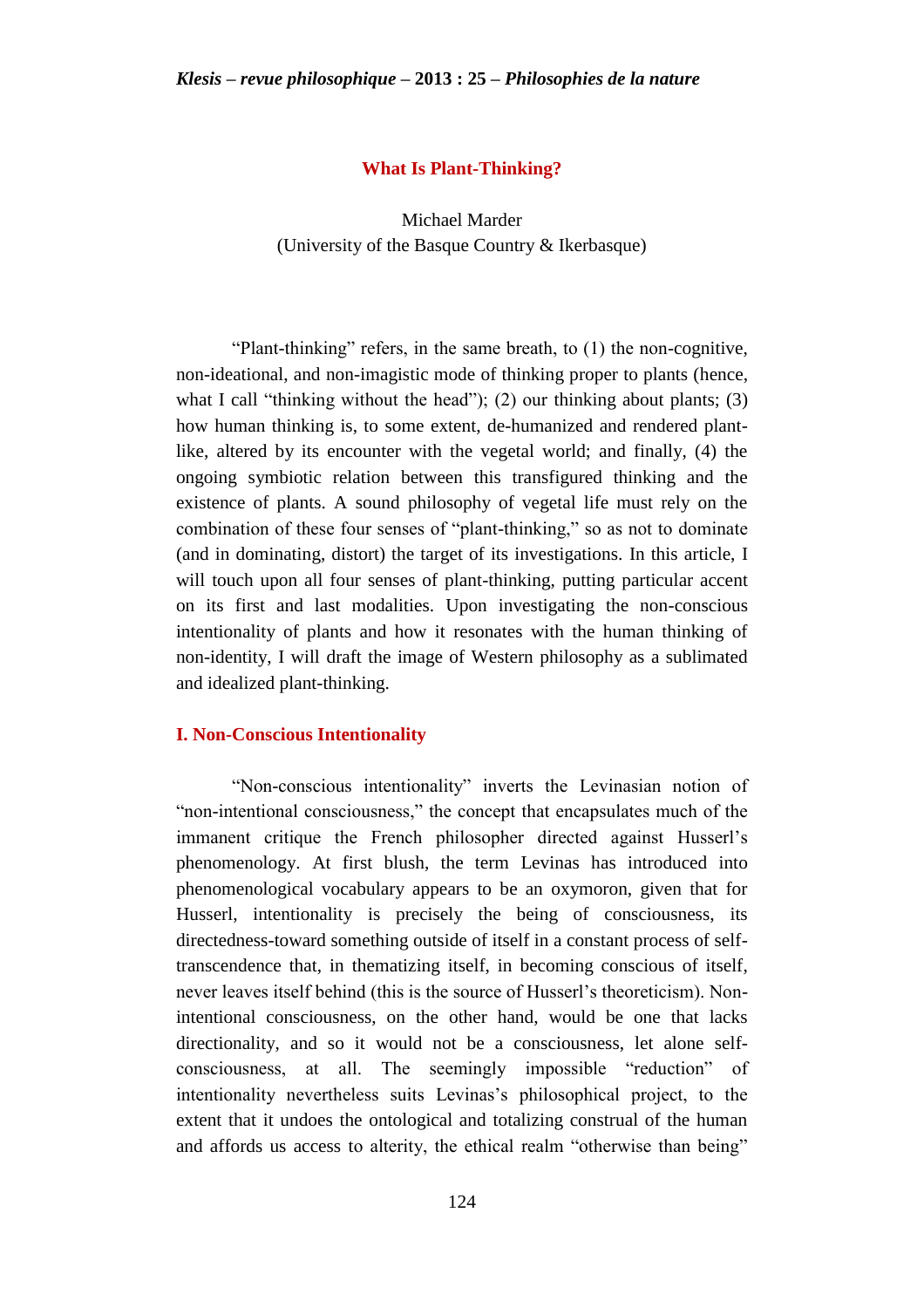#### **What Is Plant-Thinking?**

Michael Marder (University of the Basque Country & Ikerbasque)

"Plant-thinking" refers, in the same breath, to (1) the non-cognitive, non-ideational, and non-imagistic mode of thinking proper to plants (hence, what I call "thinking without the head"); (2) our thinking about plants; (3) how human thinking is, to some extent, de-humanized and rendered plantlike, altered by its encounter with the vegetal world; and finally, (4) the ongoing symbiotic relation between this transfigured thinking and the existence of plants. A sound philosophy of vegetal life must rely on the combination of these four senses of "plant-thinking," so as not to dominate (and in dominating, distort) the target of its investigations. In this article, I will touch upon all four senses of plant-thinking, putting particular accent on its first and last modalities. Upon investigating the non-conscious intentionality of plants and how it resonates with the human thinking of non-identity, I will draft the image of Western philosophy as a sublimated and idealized plant-thinking.

#### **I. Non-Conscious Intentionality**

"Non-conscious intentionality" inverts the Levinasian notion of "non-intentional consciousness," the concept that encapsulates much of the immanent critique the French philosopher directed against Husserl's phenomenology. At first blush, the term Levinas has introduced into phenomenological vocabulary appears to be an oxymoron, given that for Husserl, intentionality is precisely the being of consciousness, its directedness-toward something outside of itself in a constant process of selftranscendence that, in thematizing itself, in becoming conscious of itself, never leaves itself behind (this is the source of Husserl's theoreticism). Nonintentional consciousness, on the other hand, would be one that lacks directionality, and so it would not be a consciousness, let alone selfconsciousness, at all. The seemingly impossible "reduction" of intentionality nevertheless suits Levinas's philosophical project, to the extent that it undoes the ontological and totalizing construal of the human and affords us access to alterity, the ethical realm "otherwise than being"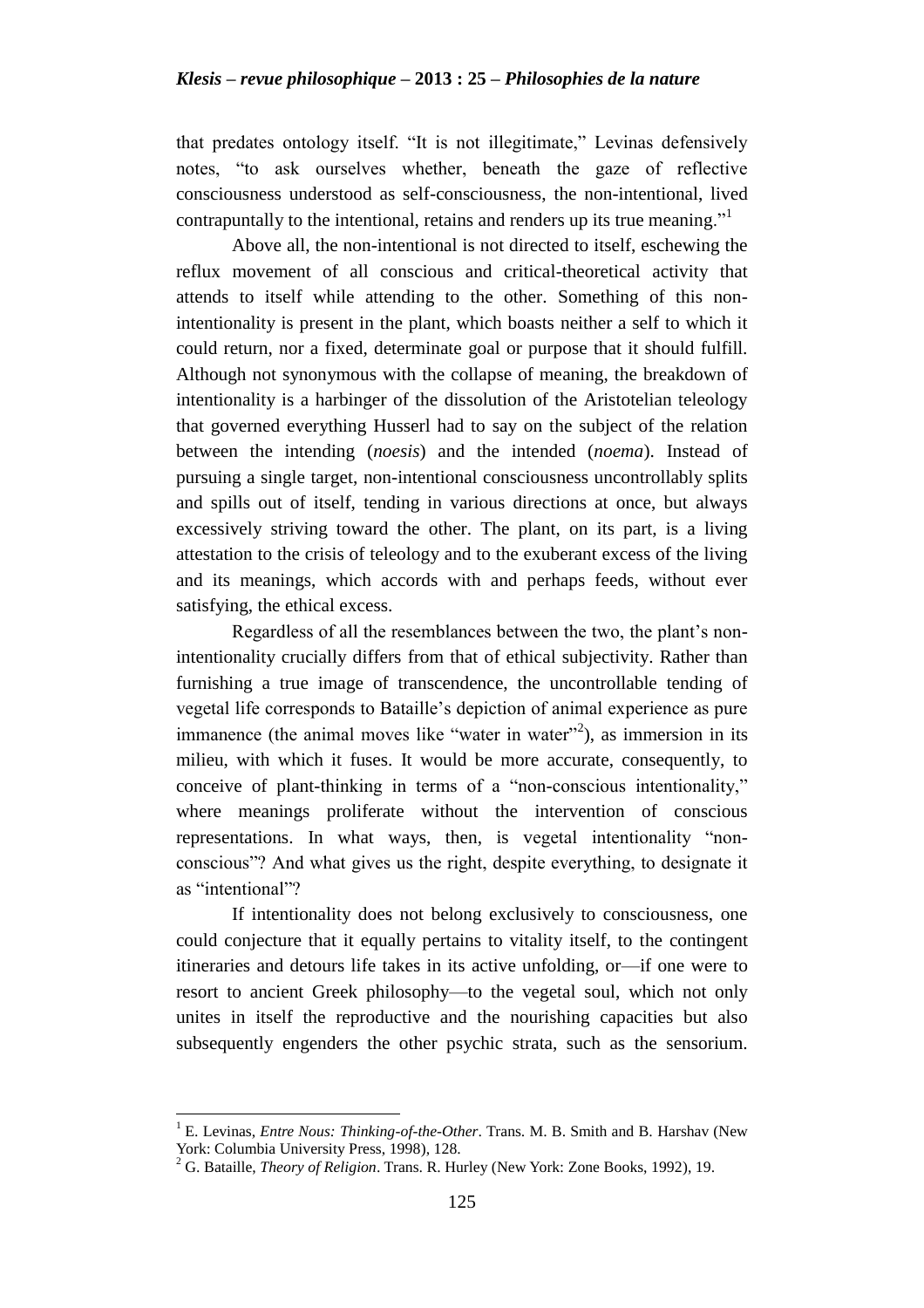that predates ontology itself. "It is not illegitimate," Levinas defensively notes, "to ask ourselves whether, beneath the gaze of reflective consciousness understood as self-consciousness, the non-intentional, lived contrapuntally to the intentional, retains and renders up its true meaning."<sup>1</sup>

Above all, the non-intentional is not directed to itself, eschewing the reflux movement of all conscious and critical-theoretical activity that attends to itself while attending to the other. Something of this nonintentionality is present in the plant, which boasts neither a self to which it could return, nor a fixed, determinate goal or purpose that it should fulfill. Although not synonymous with the collapse of meaning, the breakdown of intentionality is a harbinger of the dissolution of the Aristotelian teleology that governed everything Husserl had to say on the subject of the relation between the intending (*noesis*) and the intended (*noema*). Instead of pursuing a single target, non-intentional consciousness uncontrollably splits and spills out of itself, tending in various directions at once, but always excessively striving toward the other. The plant, on its part, is a living attestation to the crisis of teleology and to the exuberant excess of the living and its meanings, which accords with and perhaps feeds, without ever satisfying, the ethical excess.

Regardless of all the resemblances between the two, the plant's nonintentionality crucially differs from that of ethical subjectivity. Rather than furnishing a true image of transcendence, the uncontrollable tending of vegetal life corresponds to Bataille's depiction of animal experience as pure immanence (the animal moves like "water in water"<sup>2</sup>), as immersion in its milieu, with which it fuses. It would be more accurate, consequently, to conceive of plant-thinking in terms of a "non-conscious intentionality," where meanings proliferate without the intervention of conscious representations. In what ways, then, is vegetal intentionality "nonconscious"? And what gives us the right, despite everything, to designate it as "intentional"?

If intentionality does not belong exclusively to consciousness, one could conjecture that it equally pertains to vitality itself, to the contingent itineraries and detours life takes in its active unfolding, or—if one were to resort to ancient Greek philosophy—to the vegetal soul, which not only unites in itself the reproductive and the nourishing capacities but also subsequently engenders the other psychic strata, such as the sensorium.

<sup>&</sup>lt;sup>1</sup> E. Levinas, *Entre Nous: Thinking-of-the-Other*. Trans. M. B. Smith and B. Harshav (New York: Columbia University Press, 1998), 128.

<sup>2</sup> G. Bataille, *Theory of Religion*. Trans. R. Hurley (New York: Zone Books, 1992), 19.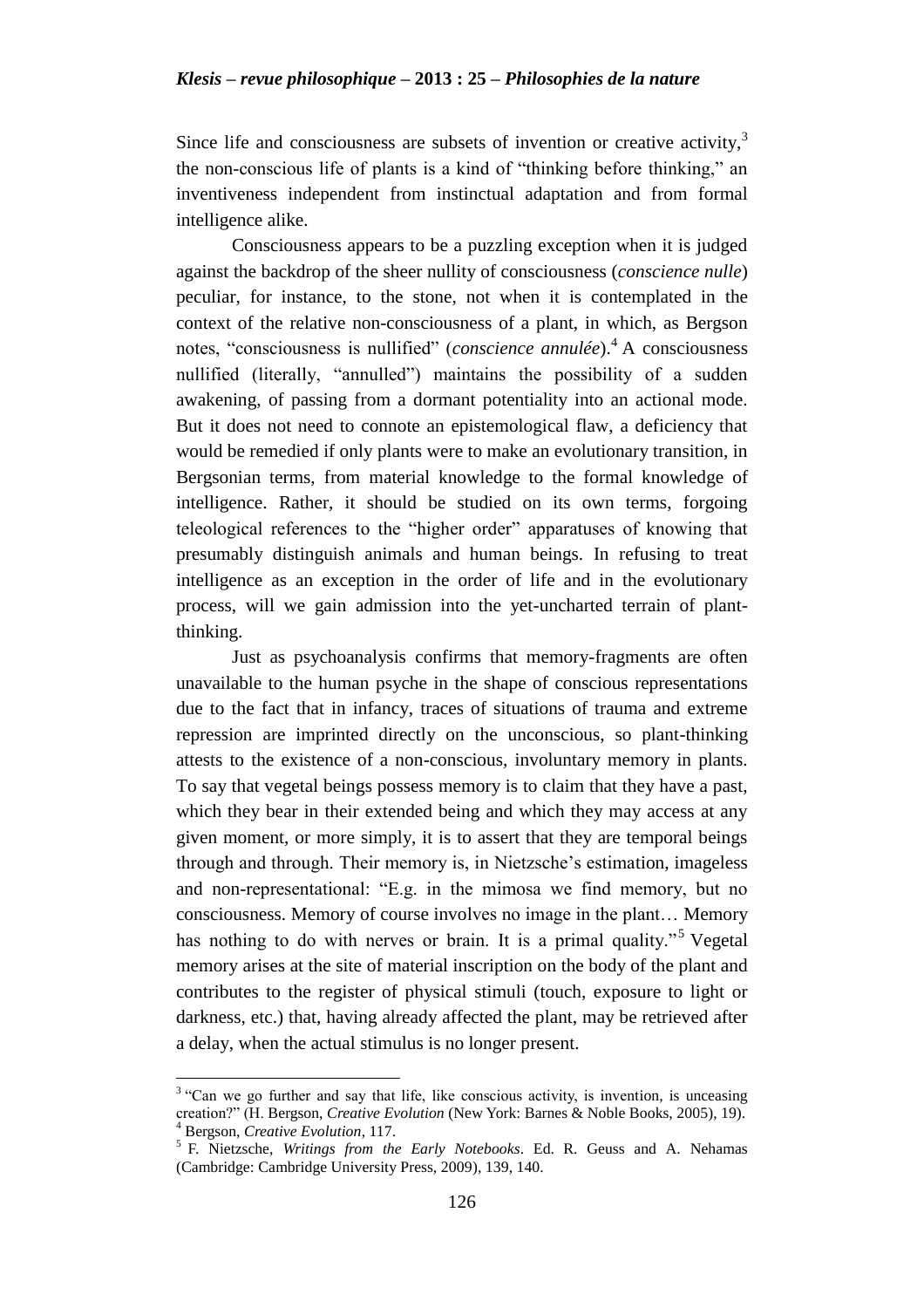Since life and consciousness are subsets of invention or creative activity, $3$ the non-conscious life of plants is a kind of "thinking before thinking," an inventiveness independent from instinctual adaptation and from formal intelligence alike.

Consciousness appears to be a puzzling exception when it is judged against the backdrop of the sheer nullity of consciousness (*conscience nulle*) peculiar, for instance, to the stone, not when it is contemplated in the context of the relative non-consciousness of a plant, in which, as Bergson notes, "consciousness is nullified" (*conscience annulée*).<sup>4</sup> A consciousness nullified (literally, "annulled") maintains the possibility of a sudden awakening, of passing from a dormant potentiality into an actional mode. But it does not need to connote an epistemological flaw, a deficiency that would be remedied if only plants were to make an evolutionary transition, in Bergsonian terms, from material knowledge to the formal knowledge of intelligence. Rather, it should be studied on its own terms, forgoing teleological references to the "higher order" apparatuses of knowing that presumably distinguish animals and human beings. In refusing to treat intelligence as an exception in the order of life and in the evolutionary process, will we gain admission into the yet-uncharted terrain of plantthinking.

Just as psychoanalysis confirms that memory-fragments are often unavailable to the human psyche in the shape of conscious representations due to the fact that in infancy, traces of situations of trauma and extreme repression are imprinted directly on the unconscious, so plant-thinking attests to the existence of a non-conscious, involuntary memory in plants. To say that vegetal beings possess memory is to claim that they have a past, which they bear in their extended being and which they may access at any given moment, or more simply, it is to assert that they are temporal beings through and through. Their memory is, in Nietzsche's estimation, imageless and non-representational: "E.g. in the mimosa we find memory, but no consciousness. Memory of course involves no image in the plant… Memory has nothing to do with nerves or brain. It is a primal quality."<sup>5</sup> Vegetal memory arises at the site of material inscription on the body of the plant and contributes to the register of physical stimuli (touch, exposure to light or darkness, etc.) that, having already affected the plant, may be retrieved after a delay, when the actual stimulus is no longer present.

<sup>&</sup>lt;sup>3</sup> "Can we go further and say that life, like conscious activity, is invention, is unceasing creation?" (H. Bergson, *Creative Evolution* (New York: Barnes & Noble Books, 2005), 19). <sup>4</sup> Bergson, *Creative Evolution*, 117.

<sup>5</sup> F. Nietzsche, *Writings from the Early Notebooks*. Ed. R. Geuss and A. Nehamas (Cambridge: Cambridge University Press, 2009), 139, 140.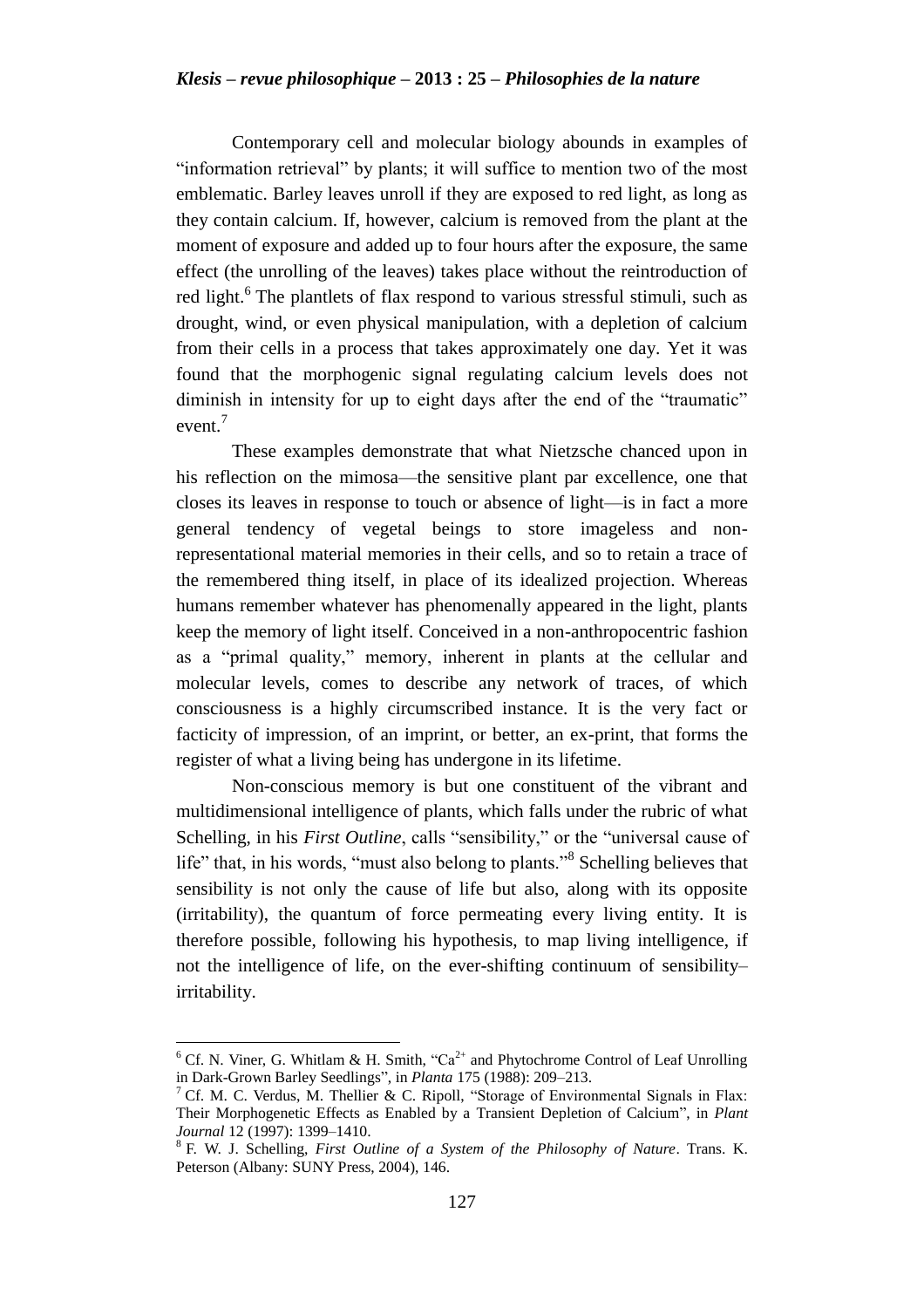Contemporary cell and molecular biology abounds in examples of "information retrieval" by plants; it will suffice to mention two of the most emblematic. Barley leaves unroll if they are exposed to red light, as long as they contain calcium. If, however, calcium is removed from the plant at the moment of exposure and added up to four hours after the exposure, the same effect (the unrolling of the leaves) takes place without the reintroduction of red light.<sup>6</sup> The plantlets of flax respond to various stressful stimuli, such as drought, wind, or even physical manipulation, with a depletion of calcium from their cells in a process that takes approximately one day. Yet it was found that the morphogenic signal regulating calcium levels does not diminish in intensity for up to eight days after the end of the "traumatic" event.<sup>7</sup>

These examples demonstrate that what Nietzsche chanced upon in his reflection on the mimosa—the sensitive plant par excellence, one that closes its leaves in response to touch or absence of light—is in fact a more general tendency of vegetal beings to store imageless and nonrepresentational material memories in their cells, and so to retain a trace of the remembered thing itself, in place of its idealized projection. Whereas humans remember whatever has phenomenally appeared in the light, plants keep the memory of light itself. Conceived in a non-anthropocentric fashion as a "primal quality," memory, inherent in plants at the cellular and molecular levels, comes to describe any network of traces, of which consciousness is a highly circumscribed instance. It is the very fact or facticity of impression, of an imprint, or better, an ex-print, that forms the register of what a living being has undergone in its lifetime.

Non-conscious memory is but one constituent of the vibrant and multidimensional intelligence of plants, which falls under the rubric of what Schelling, in his *First Outline*, calls "sensibility," or the "universal cause of life" that, in his words, "must also belong to plants."<sup>8</sup> Schelling believes that sensibility is not only the cause of life but also, along with its opposite (irritability), the quantum of force permeating every living entity. It is therefore possible, following his hypothesis, to map living intelligence, if not the intelligence of life, on the ever-shifting continuum of sensibility– irritability.

<sup>&</sup>lt;sup>6</sup> Cf. N. Viner, G. Whitlam & H. Smith, "Ca<sup>2+</sup> and Phytochrome Control of Leaf Unrolling in Dark-Grown Barley Seedlings", in *Planta* 175 (1988): 209–213.

<sup>&</sup>lt;sup>7</sup> Cf. M. C. Verdus, M. Thellier & C. Ripoll, "Storage of Environmental Signals in Flax: Their Morphogenetic Effects as Enabled by a Transient Depletion of Calcium", in *Plant Journal* 12 (1997): 1399–1410.

<sup>8</sup> F. W. J. Schelling, *First Outline of a System of the Philosophy of Nature*. Trans. K. Peterson (Albany: SUNY Press, 2004), 146.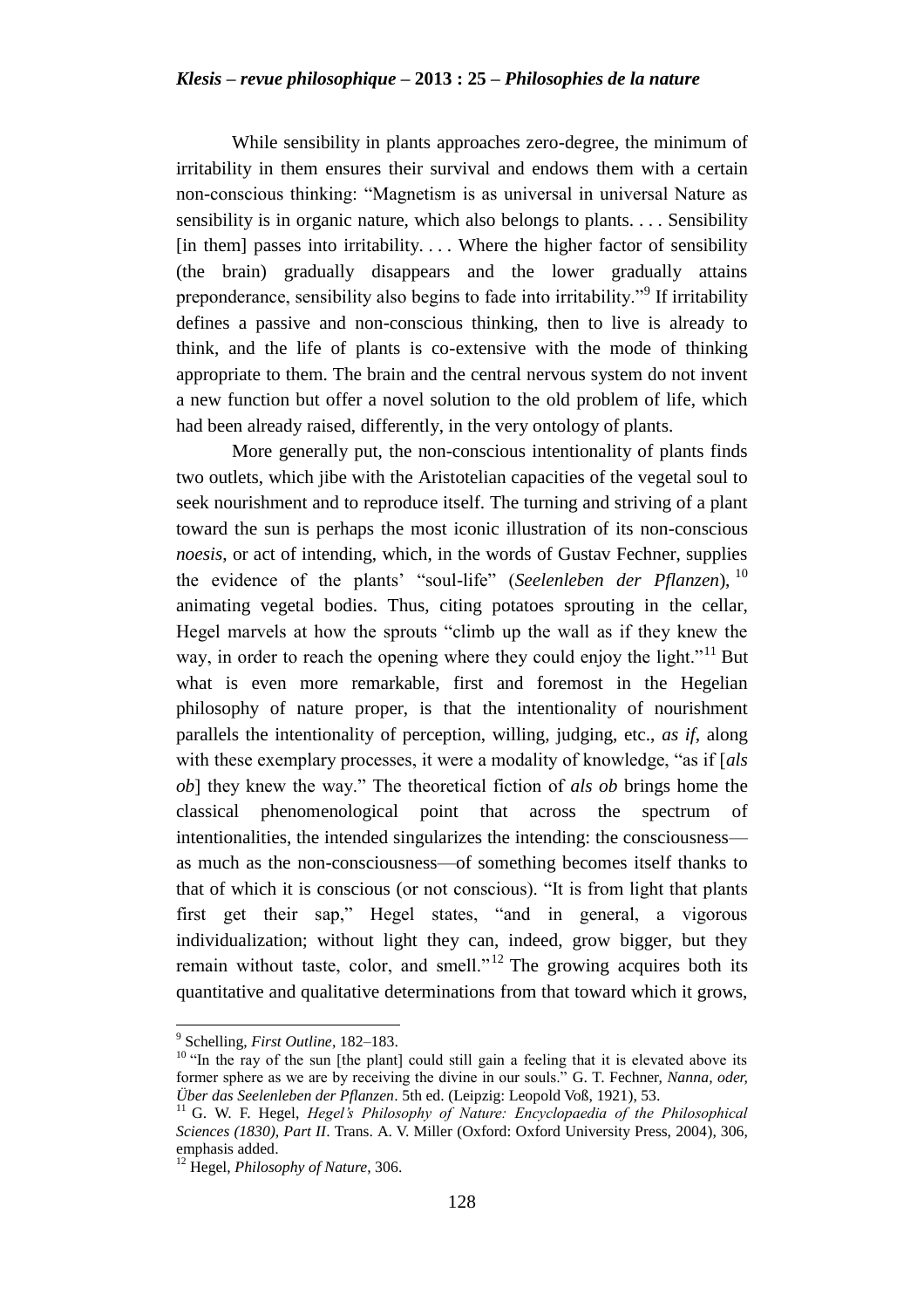While sensibility in plants approaches zero-degree, the minimum of irritability in them ensures their survival and endows them with a certain non-conscious thinking: "Magnetism is as universal in universal Nature as sensibility is in organic nature, which also belongs to plants. . . . Sensibility [in them] passes into irritability. . . . Where the higher factor of sensibility (the brain) gradually disappears and the lower gradually attains preponderance, sensibility also begins to fade into irritability."<sup>9</sup> If irritability defines a passive and non-conscious thinking, then to live is already to think, and the life of plants is co-extensive with the mode of thinking appropriate to them. The brain and the central nervous system do not invent a new function but offer a novel solution to the old problem of life, which had been already raised, differently, in the very ontology of plants.

More generally put, the non-conscious intentionality of plants finds two outlets, which jibe with the Aristotelian capacities of the vegetal soul to seek nourishment and to reproduce itself. The turning and striving of a plant toward the sun is perhaps the most iconic illustration of its non-conscious *noesis*, or act of intending, which, in the words of Gustav Fechner, supplies the evidence of the plants' "soul-life" (*Seelenleben der Pflanzen*), 10 animating vegetal bodies. Thus, citing potatoes sprouting in the cellar, Hegel marvels at how the sprouts "climb up the wall as if they knew the way, in order to reach the opening where they could enjoy the light."<sup>11</sup> But what is even more remarkable, first and foremost in the Hegelian philosophy of nature proper, is that the intentionality of nourishment parallels the intentionality of perception, willing, judging, etc., *as if*, along with these exemplary processes, it were a modality of knowledge, "as if [*als ob*] they knew the way." The theoretical fiction of *als ob* brings home the classical phenomenological point that across the spectrum of intentionalities, the intended singularizes the intending: the consciousness as much as the non-consciousness—of something becomes itself thanks to that of which it is conscious (or not conscious). "It is from light that plants first get their sap," Hegel states, "and in general, a vigorous individualization; without light they can, indeed, grow bigger, but they remain without taste, color, and smell."<sup>12</sup> The growing acquires both its quantitative and qualitative determinations from that toward which it grows,

<sup>9</sup> Schelling, *First Outline*, 182–183.

<sup>&</sup>lt;sup>10</sup> "In the ray of the sun [the plant] could still gain a feeling that it is elevated above its former sphere as we are by receiving the divine in our souls." G. T. Fechner, *Nanna, oder, Über das Seelenleben der Pflanzen*. 5th ed. (Leipzig: Leopold Voß, 1921), 53.

<sup>&</sup>lt;sup>11</sup> G. W. F. Hegel, *Hegel's Philosophy of Nature: Encyclopaedia of the Philosophical Sciences (1830), Part II*. Trans. A. V. Miller (Oxford: Oxford University Press, 2004), 306, emphasis added.

<sup>12</sup> Hegel, *Philosophy of Nature*, 306.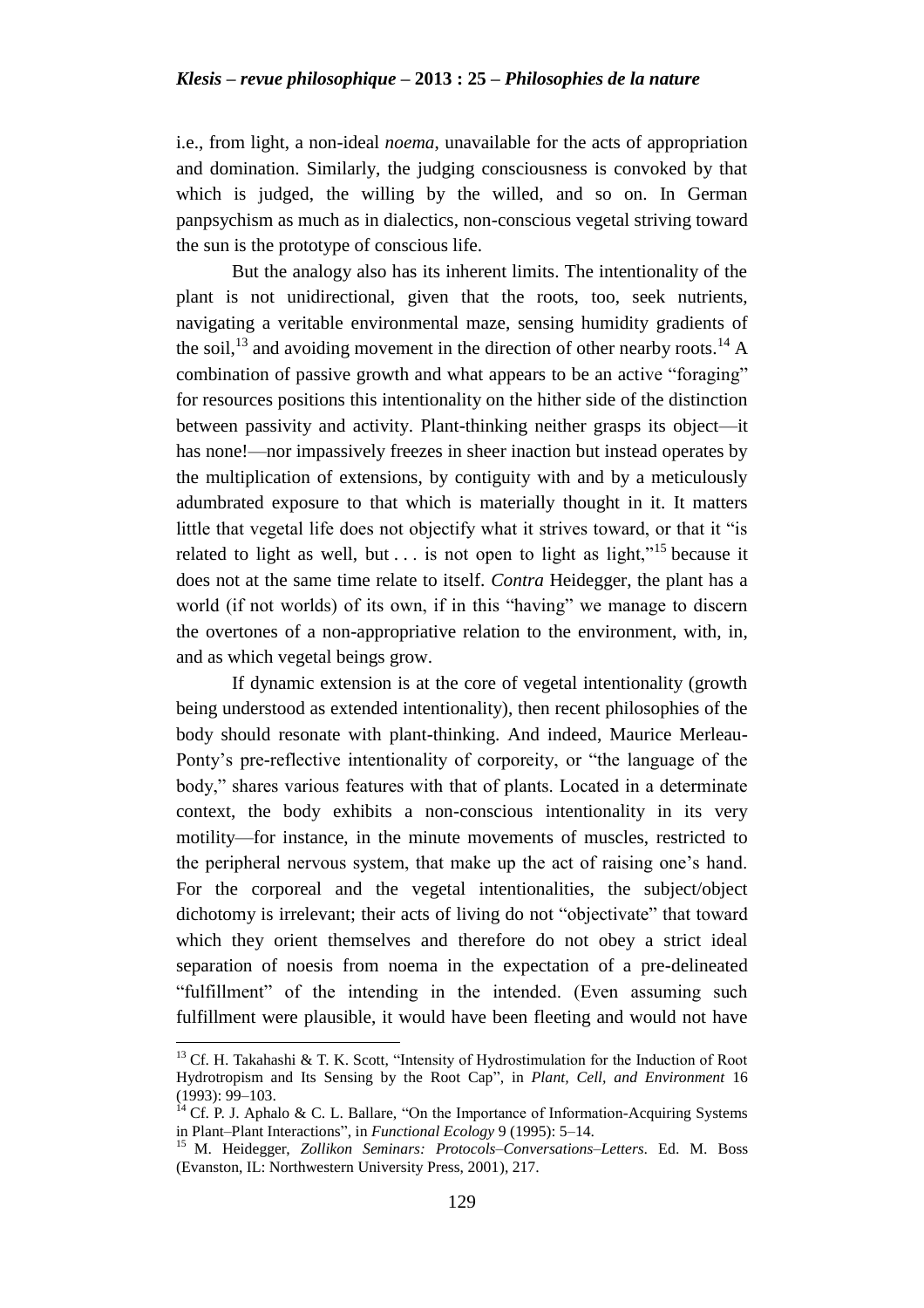i.e., from light, a non-ideal *noema*, unavailable for the acts of appropriation and domination. Similarly, the judging consciousness is convoked by that which is judged, the willing by the willed, and so on. In German panpsychism as much as in dialectics, non-conscious vegetal striving toward the sun is the prototype of conscious life.

But the analogy also has its inherent limits. The intentionality of the plant is not unidirectional, given that the roots, too, seek nutrients, navigating a veritable environmental maze, sensing humidity gradients of the soil,<sup>13</sup> and avoiding movement in the direction of other nearby roots.<sup>14</sup> A combination of passive growth and what appears to be an active "foraging" for resources positions this intentionality on the hither side of the distinction between passivity and activity. Plant-thinking neither grasps its object—it has none!—nor impassively freezes in sheer inaction but instead operates by the multiplication of extensions, by contiguity with and by a meticulously adumbrated exposure to that which is materially thought in it. It matters little that vegetal life does not objectify what it strives toward, or that it "is related to light as well, but  $\ldots$  is not open to light as light,"<sup>15</sup> because it does not at the same time relate to itself. *Contra* Heidegger, the plant has a world (if not worlds) of its own, if in this "having" we manage to discern the overtones of a non-appropriative relation to the environment, with, in, and as which vegetal beings grow.

If dynamic extension is at the core of vegetal intentionality (growth being understood as extended intentionality), then recent philosophies of the body should resonate with plant-thinking. And indeed, Maurice Merleau-Ponty's pre-reflective intentionality of corporeity, or "the language of the body," shares various features with that of plants. Located in a determinate context, the body exhibits a non-conscious intentionality in its very motility—for instance, in the minute movements of muscles, restricted to the peripheral nervous system, that make up the act of raising one's hand. For the corporeal and the vegetal intentionalities, the subject/object dichotomy is irrelevant; their acts of living do not "objectivate" that toward which they orient themselves and therefore do not obey a strict ideal separation of noesis from noema in the expectation of a pre-delineated "fulfillment" of the intending in the intended. (Even assuming such fulfillment were plausible, it would have been fleeting and would not have

 $13$  Cf. H. Takahashi & T. K. Scott, "Intensity of Hydrostimulation for the Induction of Root Hydrotropism and Its Sensing by the Root Cap", in *Plant, Cell, and Environment* 16 (1993): 99–103.

<sup>&</sup>lt;sup>14</sup> Cf. P. J. Aphalo & C. L. Ballare, "On the Importance of Information-Acquiring Systems in Plant–Plant Interactions", in *Functional Ecology* 9 (1995): 5–14.

<sup>15</sup> M. Heidegger, *Zollikon Seminars: Protocols–Conversations–Letters*. Ed. M. Boss (Evanston, IL: Northwestern University Press, 2001), 217.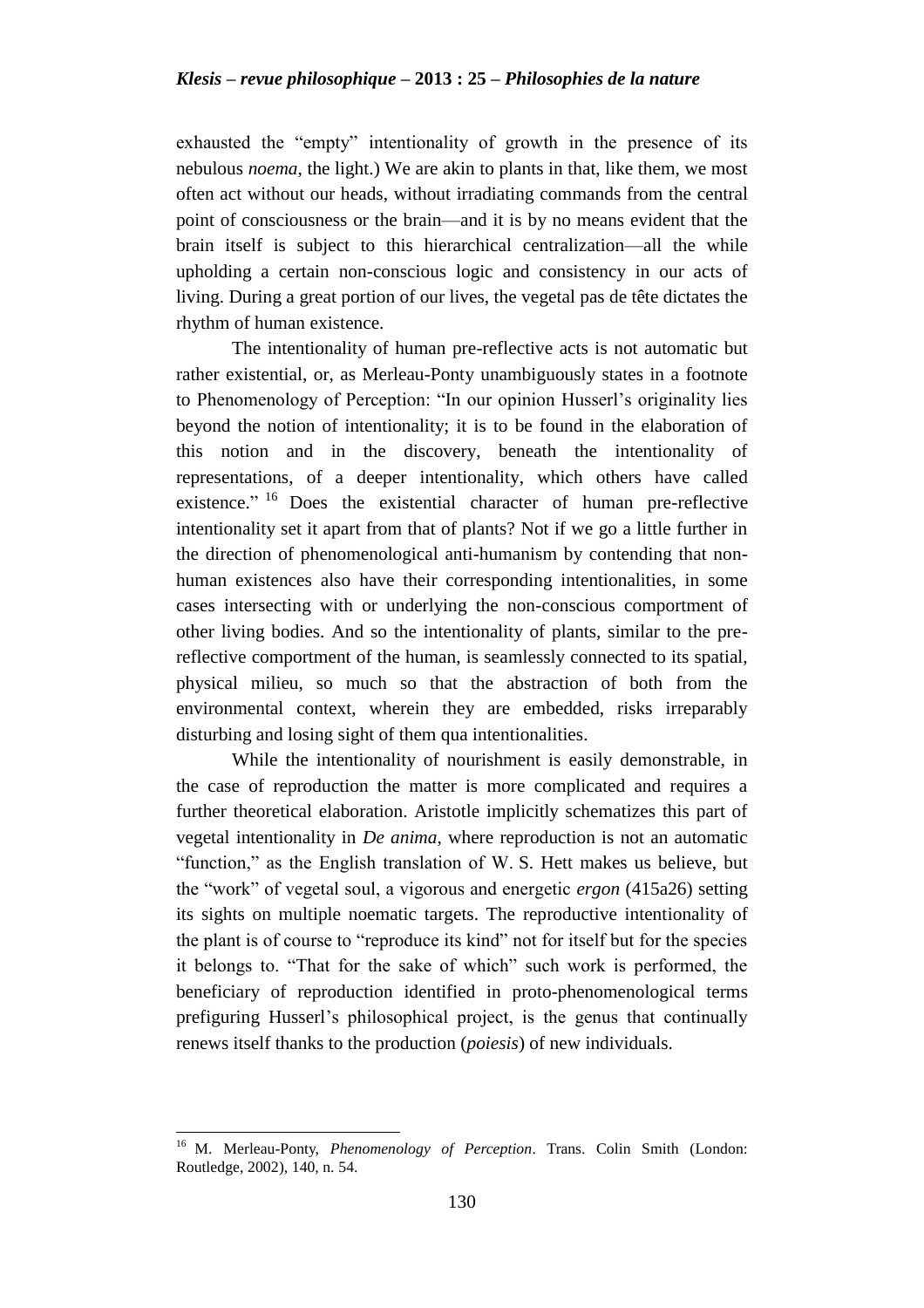exhausted the "empty" intentionality of growth in the presence of its nebulous *noema*, the light.) We are akin to plants in that, like them, we most often act without our heads, without irradiating commands from the central point of consciousness or the brain—and it is by no means evident that the brain itself is subject to this hierarchical centralization—all the while upholding a certain non-conscious logic and consistency in our acts of living. During a great portion of our lives, the vegetal pas de tête dictates the rhythm of human existence.

The intentionality of human pre-reflective acts is not automatic but rather existential, or, as Merleau-Ponty unambiguously states in a footnote to Phenomenology of Perception: "In our opinion Husserl's originality lies beyond the notion of intentionality; it is to be found in the elaboration of this notion and in the discovery, beneath the intentionality of representations, of a deeper intentionality, which others have called existence."<sup>16</sup> Does the existential character of human pre-reflective intentionality set it apart from that of plants? Not if we go a little further in the direction of phenomenological anti-humanism by contending that nonhuman existences also have their corresponding intentionalities, in some cases intersecting with or underlying the non-conscious comportment of other living bodies. And so the intentionality of plants, similar to the prereflective comportment of the human, is seamlessly connected to its spatial, physical milieu, so much so that the abstraction of both from the environmental context, wherein they are embedded, risks irreparably disturbing and losing sight of them qua intentionalities.

While the intentionality of nourishment is easily demonstrable, in the case of reproduction the matter is more complicated and requires a further theoretical elaboration. Aristotle implicitly schematizes this part of vegetal intentionality in *De anima*, where reproduction is not an automatic "function," as the English translation of W. S. Hett makes us believe, but the "work" of vegetal soul, a vigorous and energetic *ergon* (415a26) setting its sights on multiple noematic targets. The reproductive intentionality of the plant is of course to "reproduce its kind" not for itself but for the species it belongs to. "That for the sake of which" such work is performed, the beneficiary of reproduction identified in proto-phenomenological terms prefiguring Husserl's philosophical project, is the genus that continually renews itself thanks to the production (*poiesis*) of new individuals.

<sup>16</sup> M. Merleau-Ponty, *Phenomenology of Perception*. Trans. Colin Smith (London: Routledge, 2002), 140, n. 54.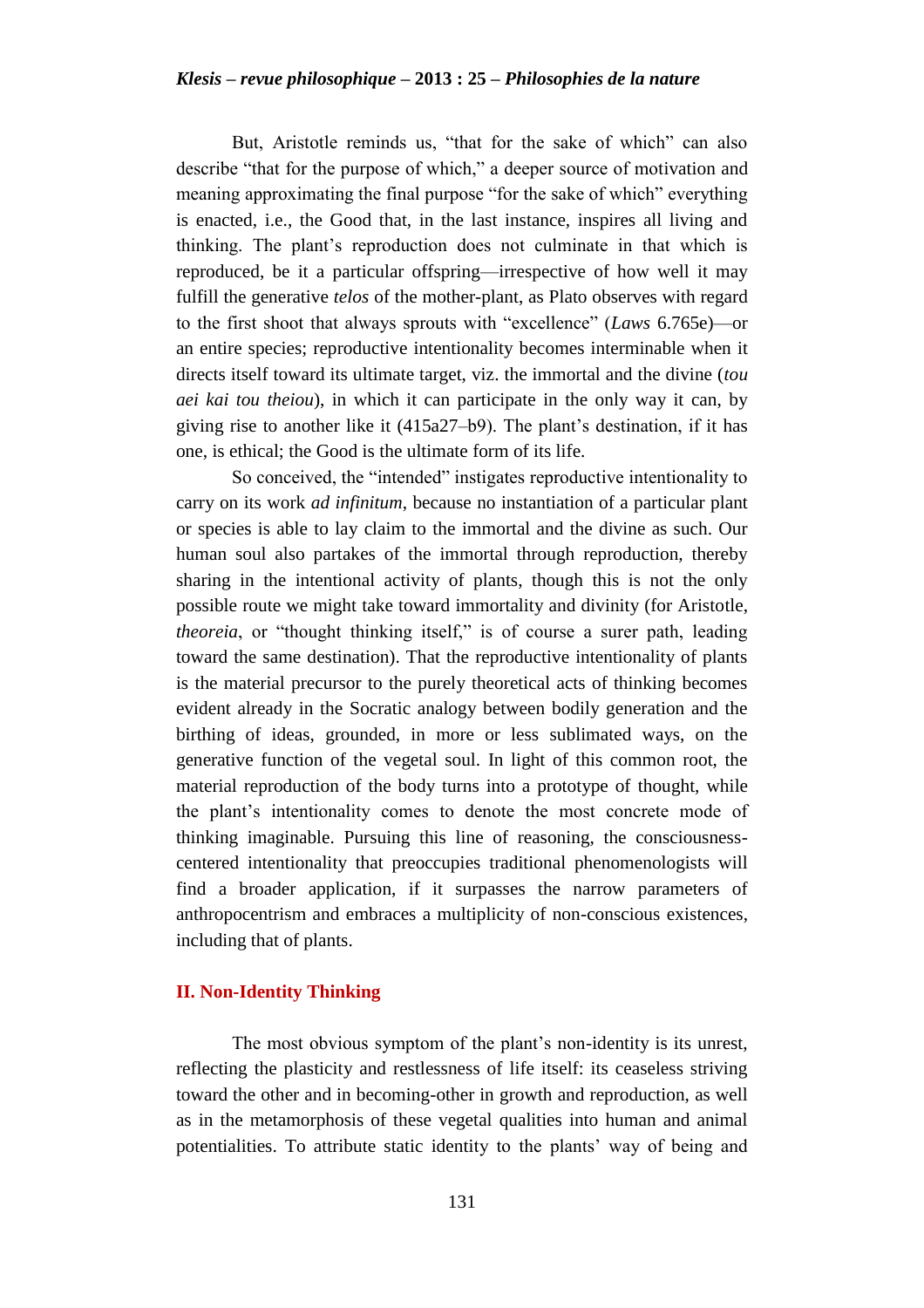But, Aristotle reminds us, "that for the sake of which" can also describe "that for the purpose of which," a deeper source of motivation and meaning approximating the final purpose "for the sake of which" everything is enacted, i.e., the Good that, in the last instance, inspires all living and thinking. The plant's reproduction does not culminate in that which is reproduced, be it a particular offspring—irrespective of how well it may fulfill the generative *telos* of the mother-plant, as Plato observes with regard to the first shoot that always sprouts with "excellence" (*Laws* 6.765e)—or an entire species; reproductive intentionality becomes interminable when it directs itself toward its ultimate target, viz. the immortal and the divine (*tou aei kai tou theiou*), in which it can participate in the only way it can, by giving rise to another like it (415a27–b9). The plant's destination, if it has one, is ethical; the Good is the ultimate form of its life.

So conceived, the "intended" instigates reproductive intentionality to carry on its work *ad infinitum*, because no instantiation of a particular plant or species is able to lay claim to the immortal and the divine as such. Our human soul also partakes of the immortal through reproduction, thereby sharing in the intentional activity of plants, though this is not the only possible route we might take toward immortality and divinity (for Aristotle, *theoreia*, or "thought thinking itself," is of course a surer path, leading toward the same destination). That the reproductive intentionality of plants is the material precursor to the purely theoretical acts of thinking becomes evident already in the Socratic analogy between bodily generation and the birthing of ideas, grounded, in more or less sublimated ways, on the generative function of the vegetal soul. In light of this common root, the material reproduction of the body turns into a prototype of thought, while the plant's intentionality comes to denote the most concrete mode of thinking imaginable. Pursuing this line of reasoning, the consciousnesscentered intentionality that preoccupies traditional phenomenologists will find a broader application, if it surpasses the narrow parameters of anthropocentrism and embraces a multiplicity of non-conscious existences, including that of plants.

# **II. Non-Identity Thinking**

The most obvious symptom of the plant's non-identity is its unrest, reflecting the plasticity and restlessness of life itself: its ceaseless striving toward the other and in becoming-other in growth and reproduction, as well as in the metamorphosis of these vegetal qualities into human and animal potentialities. To attribute static identity to the plants' way of being and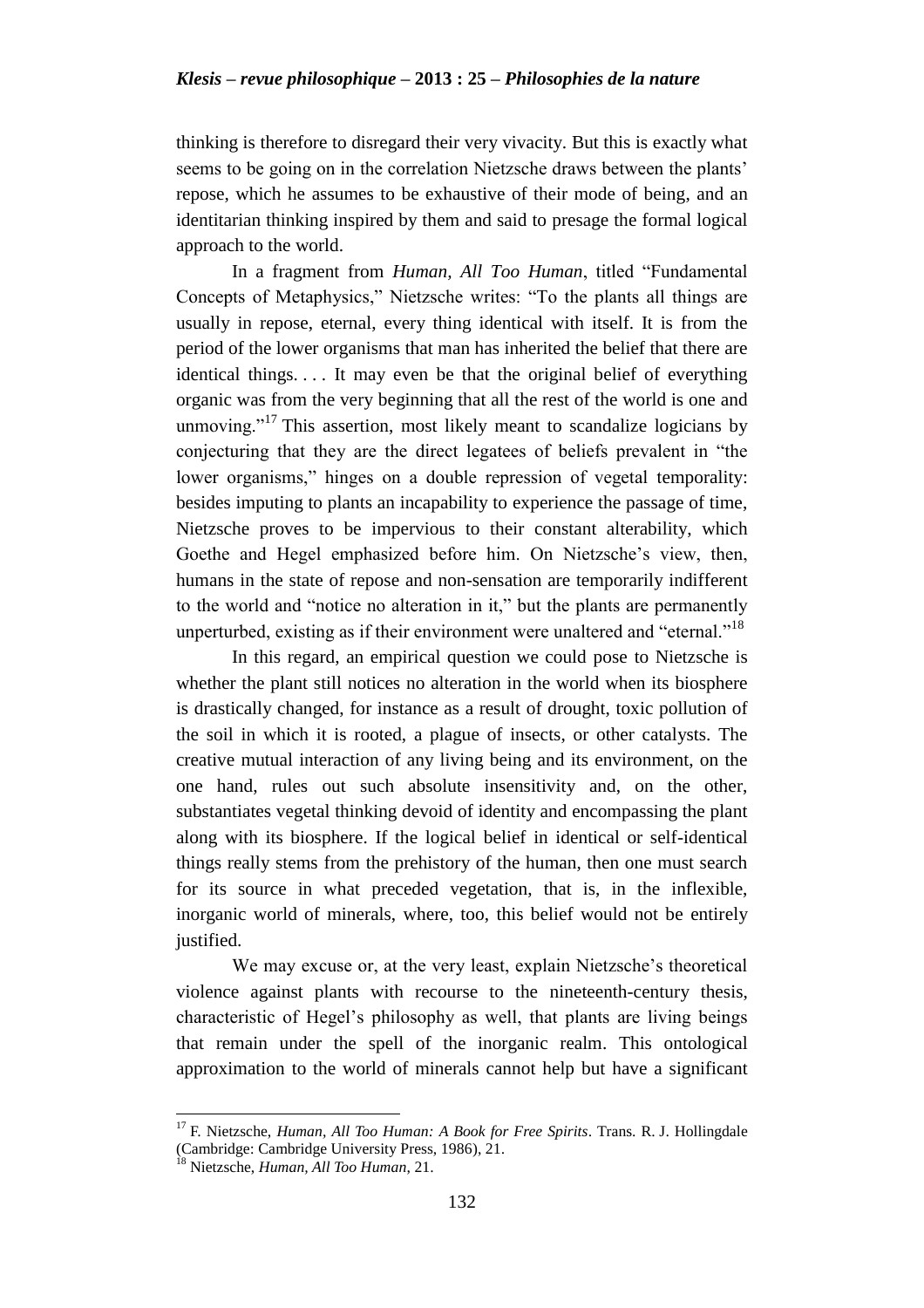thinking is therefore to disregard their very vivacity. But this is exactly what seems to be going on in the correlation Nietzsche draws between the plants' repose, which he assumes to be exhaustive of their mode of being, and an identitarian thinking inspired by them and said to presage the formal logical approach to the world.

In a fragment from *Human, All Too Human*, titled "Fundamental Concepts of Metaphysics," Nietzsche writes: "To the plants all things are usually in repose, eternal, every thing identical with itself. It is from the period of the lower organisms that man has inherited the belief that there are identical things. . . . It may even be that the original belief of everything organic was from the very beginning that all the rest of the world is one and unmoving."<sup>17</sup> This assertion, most likely meant to scandalize logicians by conjecturing that they are the direct legatees of beliefs prevalent in "the lower organisms," hinges on a double repression of vegetal temporality: besides imputing to plants an incapability to experience the passage of time, Nietzsche proves to be impervious to their constant alterability, which Goethe and Hegel emphasized before him. On Nietzsche's view, then, humans in the state of repose and non-sensation are temporarily indifferent to the world and "notice no alteration in it," but the plants are permanently unperturbed, existing as if their environment were unaltered and "eternal."<sup>18</sup>

In this regard, an empirical question we could pose to Nietzsche is whether the plant still notices no alteration in the world when its biosphere is drastically changed, for instance as a result of drought, toxic pollution of the soil in which it is rooted, a plague of insects, or other catalysts. The creative mutual interaction of any living being and its environment, on the one hand, rules out such absolute insensitivity and, on the other, substantiates vegetal thinking devoid of identity and encompassing the plant along with its biosphere. If the logical belief in identical or self-identical things really stems from the prehistory of the human, then one must search for its source in what preceded vegetation, that is, in the inflexible, inorganic world of minerals, where, too, this belief would not be entirely justified.

We may excuse or, at the very least, explain Nietzsche's theoretical violence against plants with recourse to the nineteenth-century thesis, characteristic of Hegel's philosophy as well, that plants are living beings that remain under the spell of the inorganic realm. This ontological approximation to the world of minerals cannot help but have a significant

<sup>17</sup> F. Nietzsche, *Human, All Too Human: A Book for Free Spirits*. Trans. R. J. Hollingdale (Cambridge: Cambridge University Press, 1986), 21.

<sup>18</sup> Nietzsche, *Human, All Too Human*, 21.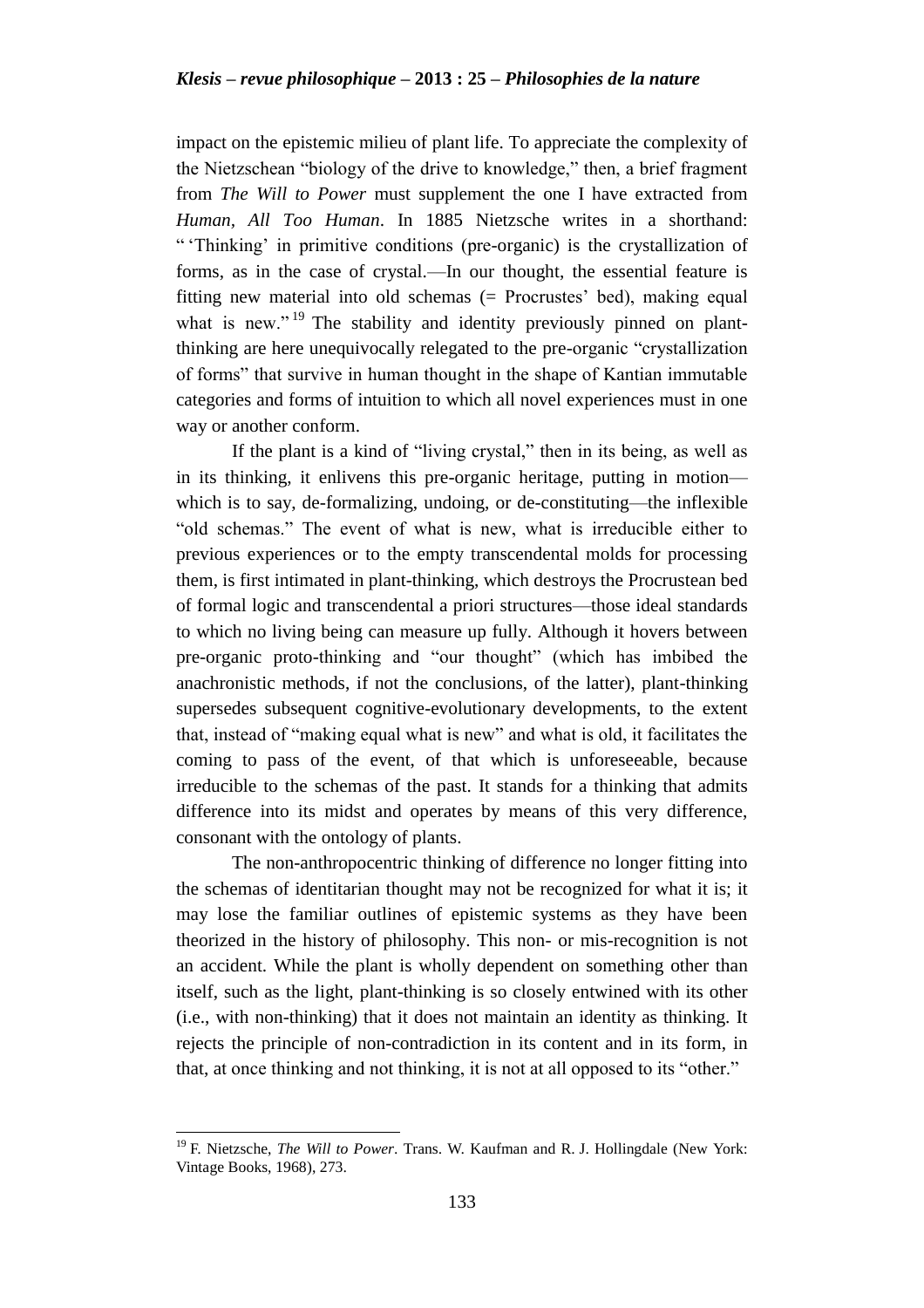impact on the epistemic milieu of plant life. To appreciate the complexity of the Nietzschean "biology of the drive to knowledge," then, a brief fragment from *The Will to Power* must supplement the one I have extracted from *Human, All Too Human*. In 1885 Nietzsche writes in a shorthand: " 'Thinking' in primitive conditions (pre-organic) is the crystallization of forms, as in the case of crystal.—In our thought, the essential feature is fitting new material into old schemas (= Procrustes' bed), making equal what is new."<sup>19</sup> The stability and identity previously pinned on plantthinking are here unequivocally relegated to the pre-organic "crystallization of forms" that survive in human thought in the shape of Kantian immutable categories and forms of intuition to which all novel experiences must in one way or another conform.

If the plant is a kind of "living crystal," then in its being, as well as in its thinking, it enlivens this pre-organic heritage, putting in motion which is to say, de-formalizing, undoing, or de-constituting—the inflexible "old schemas." The event of what is new, what is irreducible either to previous experiences or to the empty transcendental molds for processing them, is first intimated in plant-thinking, which destroys the Procrustean bed of formal logic and transcendental a priori structures—those ideal standards to which no living being can measure up fully. Although it hovers between pre-organic proto-thinking and "our thought" (which has imbibed the anachronistic methods, if not the conclusions, of the latter), plant-thinking supersedes subsequent cognitive-evolutionary developments, to the extent that, instead of "making equal what is new" and what is old, it facilitates the coming to pass of the event, of that which is unforeseeable, because irreducible to the schemas of the past. It stands for a thinking that admits difference into its midst and operates by means of this very difference, consonant with the ontology of plants.

The non-anthropocentric thinking of difference no longer fitting into the schemas of identitarian thought may not be recognized for what it is; it may lose the familiar outlines of epistemic systems as they have been theorized in the history of philosophy. This non- or mis-recognition is not an accident. While the plant is wholly dependent on something other than itself, such as the light, plant-thinking is so closely entwined with its other (i.e., with non-thinking) that it does not maintain an identity as thinking. It rejects the principle of non-contradiction in its content and in its form, in that, at once thinking and not thinking, it is not at all opposed to its "other."

<sup>19</sup> F. Nietzsche, *The Will to Power*. Trans. W. Kaufman and R. J. Hollingdale (New York: Vintage Books, 1968), 273.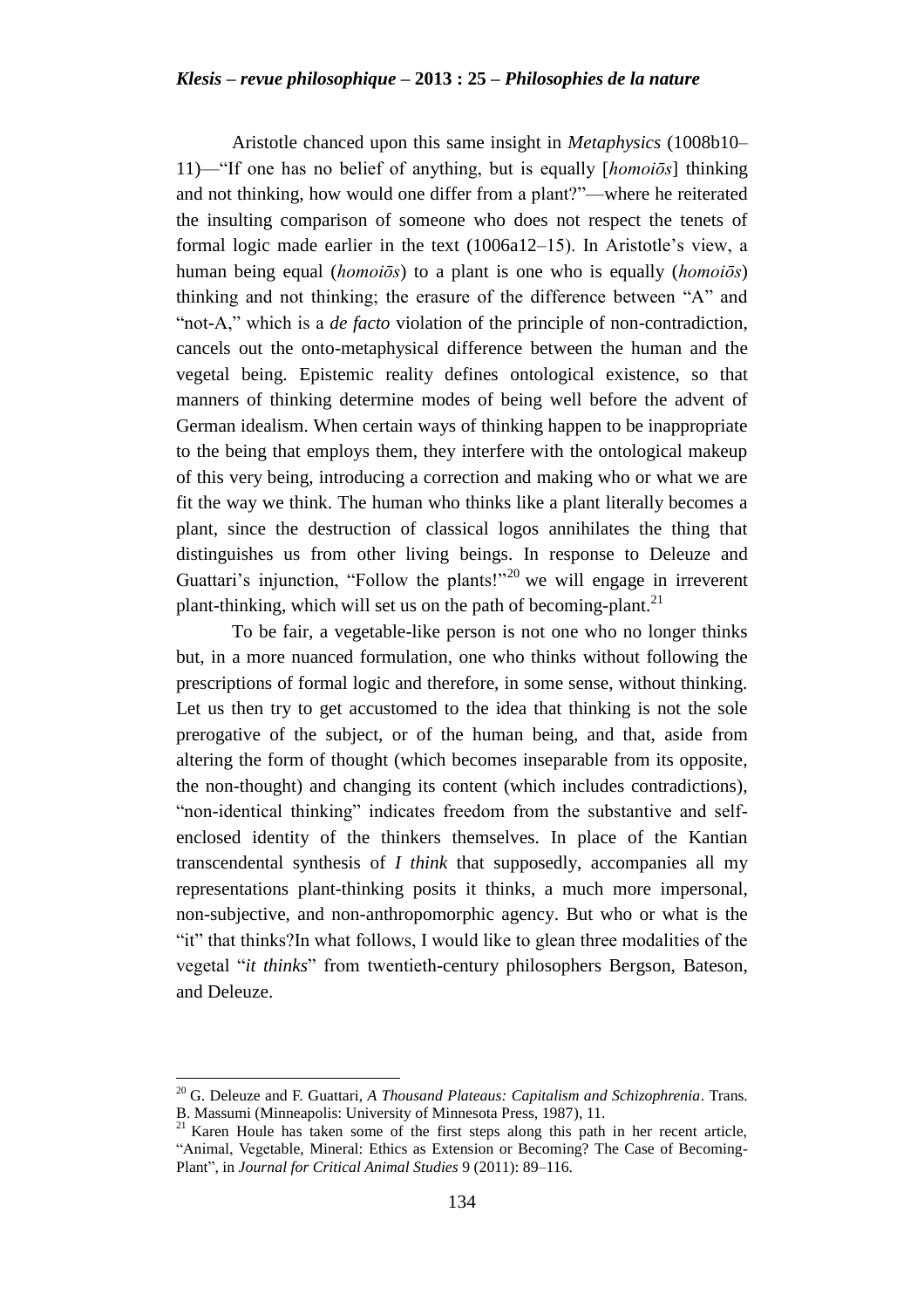Aristotle chanced upon this same insight in *Metaphysics* (1008b10– 11)—"If one has no belief of anything, but is equally [*homoiōs*] thinking and not thinking, how would one differ from a plant?"—where he reiterated the insulting comparison of someone who does not respect the tenets of formal logic made earlier in the text (1006a12–15). In Aristotle's view, a human being equal (*homoiōs*) to a plant is one who is equally (*homoiōs*) thinking and not thinking; the erasure of the difference between "A" and "not-A," which is a *de facto* violation of the principle of non-contradiction, cancels out the onto-metaphysical difference between the human and the vegetal being. Epistemic reality defines ontological existence, so that manners of thinking determine modes of being well before the advent of German idealism. When certain ways of thinking happen to be inappropriate to the being that employs them, they interfere with the ontological makeup of this very being, introducing a correction and making who or what we are fit the way we think. The human who thinks like a plant literally becomes a plant, since the destruction of classical logos annihilates the thing that distinguishes us from other living beings. In response to Deleuze and Guattari's injunction, "Follow the plants!"<sup>20</sup> we will engage in irreverent plant-thinking, which will set us on the path of becoming-plant.<sup>21</sup>

To be fair, a vegetable-like person is not one who no longer thinks but, in a more nuanced formulation, one who thinks without following the prescriptions of formal logic and therefore, in some sense, without thinking. Let us then try to get accustomed to the idea that thinking is not the sole prerogative of the subject, or of the human being, and that, aside from altering the form of thought (which becomes inseparable from its opposite, the non-thought) and changing its content (which includes contradictions), "non-identical thinking" indicates freedom from the substantive and selfenclosed identity of the thinkers themselves. In place of the Kantian transcendental synthesis of *I think* that supposedly, accompanies all my representations plant-thinking posits it thinks, a much more impersonal, non-subjective, and non-anthropomorphic agency. But who or what is the "it" that thinks?In what follows, I would like to glean three modalities of the vegetal "*it thinks*" from twentieth-century philosophers Bergson, Bateson, and Deleuze.

<sup>20</sup> G. Deleuze and F. Guattari, *A Thousand Plateaus: Capitalism and Schizophrenia*. Trans. B. Massumi (Minneapolis: University of Minnesota Press, 1987), 11.

<sup>&</sup>lt;sup>21</sup> Karen Houle has taken some of the first steps along this path in her recent article, "Animal, Vegetable, Mineral: Ethics as Extension or Becoming? The Case of Becoming-Plant", in *Journal for Critical Animal Studies* 9 (2011): 89–116.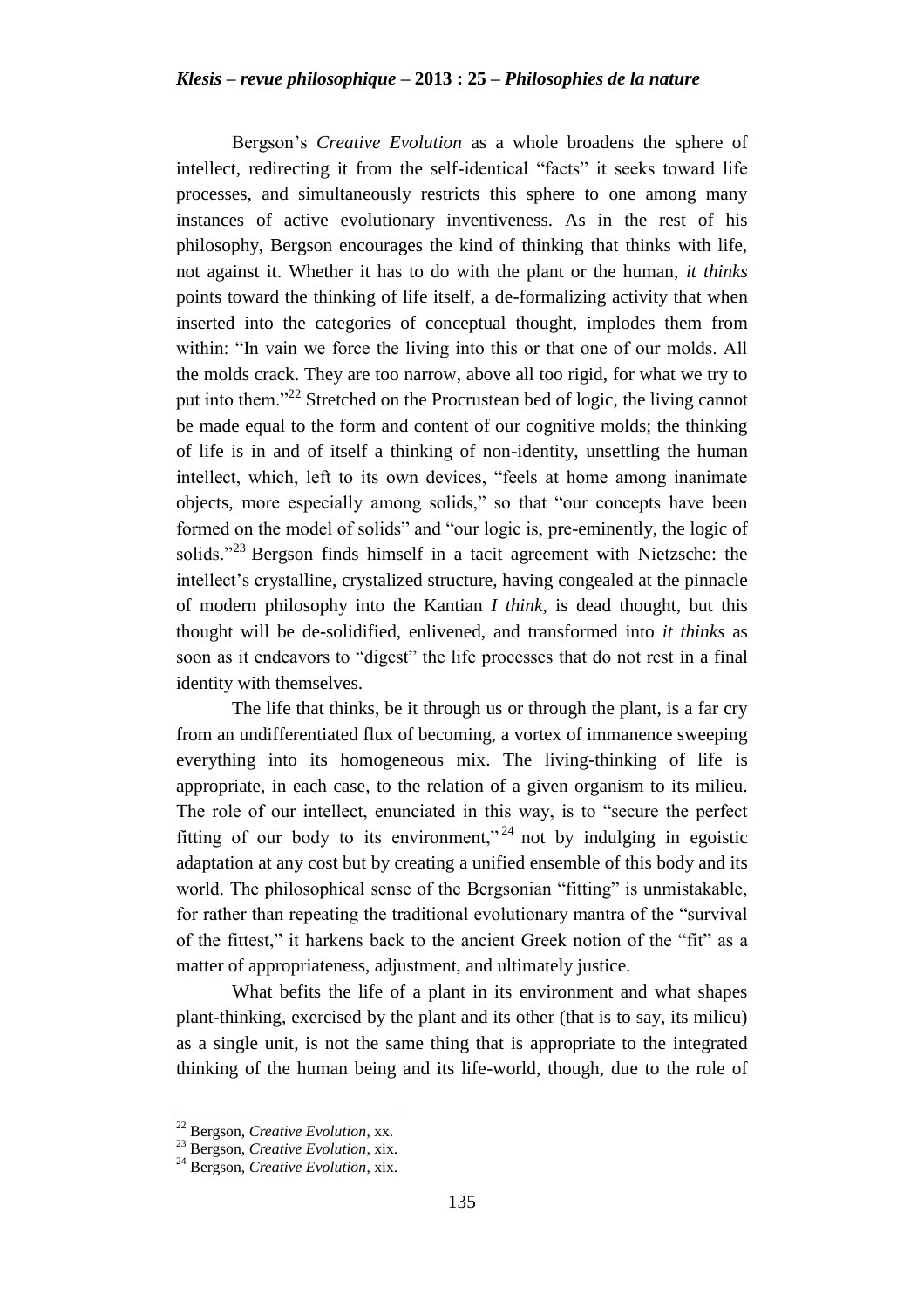Bergson's *Creative Evolution* as a whole broadens the sphere of intellect, redirecting it from the self-identical "facts" it seeks toward life processes, and simultaneously restricts this sphere to one among many instances of active evolutionary inventiveness. As in the rest of his philosophy, Bergson encourages the kind of thinking that thinks with life, not against it. Whether it has to do with the plant or the human, *it thinks* points toward the thinking of life itself, a de-formalizing activity that when inserted into the categories of conceptual thought, implodes them from within: "In vain we force the living into this or that one of our molds. All the molds crack. They are too narrow, above all too rigid, for what we try to put into them."<sup>22</sup> Stretched on the Procrustean bed of logic, the living cannot be made equal to the form and content of our cognitive molds; the thinking of life is in and of itself a thinking of non-identity, unsettling the human intellect, which, left to its own devices, "feels at home among inanimate objects, more especially among solids," so that "our concepts have been formed on the model of solids" and "our logic is, pre-eminently, the logic of solids."<sup>23</sup> Bergson finds himself in a tacit agreement with Nietzsche: the intellect's crystalline, crystalized structure, having congealed at the pinnacle of modern philosophy into the Kantian *I think*, is dead thought, but this thought will be de-solidified, enlivened, and transformed into *it thinks* as soon as it endeavors to "digest" the life processes that do not rest in a final identity with themselves.

The life that thinks, be it through us or through the plant, is a far cry from an undifferentiated flux of becoming, a vortex of immanence sweeping everything into its homogeneous mix. The living-thinking of life is appropriate, in each case, to the relation of a given organism to its milieu. The role of our intellect, enunciated in this way, is to "secure the perfect fitting of our body to its environment,"<sup>24</sup> not by indulging in egoistic adaptation at any cost but by creating a unified ensemble of this body and its world. The philosophical sense of the Bergsonian "fitting" is unmistakable, for rather than repeating the traditional evolutionary mantra of the "survival of the fittest," it harkens back to the ancient Greek notion of the "fit" as a matter of appropriateness, adjustment, and ultimately justice.

What befits the life of a plant in its environment and what shapes plant-thinking, exercised by the plant and its other (that is to say, its milieu) as a single unit, is not the same thing that is appropriate to the integrated thinking of the human being and its life-world, though, due to the role of

<sup>22</sup> Bergson, *Creative Evolution*, xx.

<sup>23</sup> Bergson, *Creative Evolution*, xix.

<sup>24</sup> Bergson, *Creative Evolution*, xix.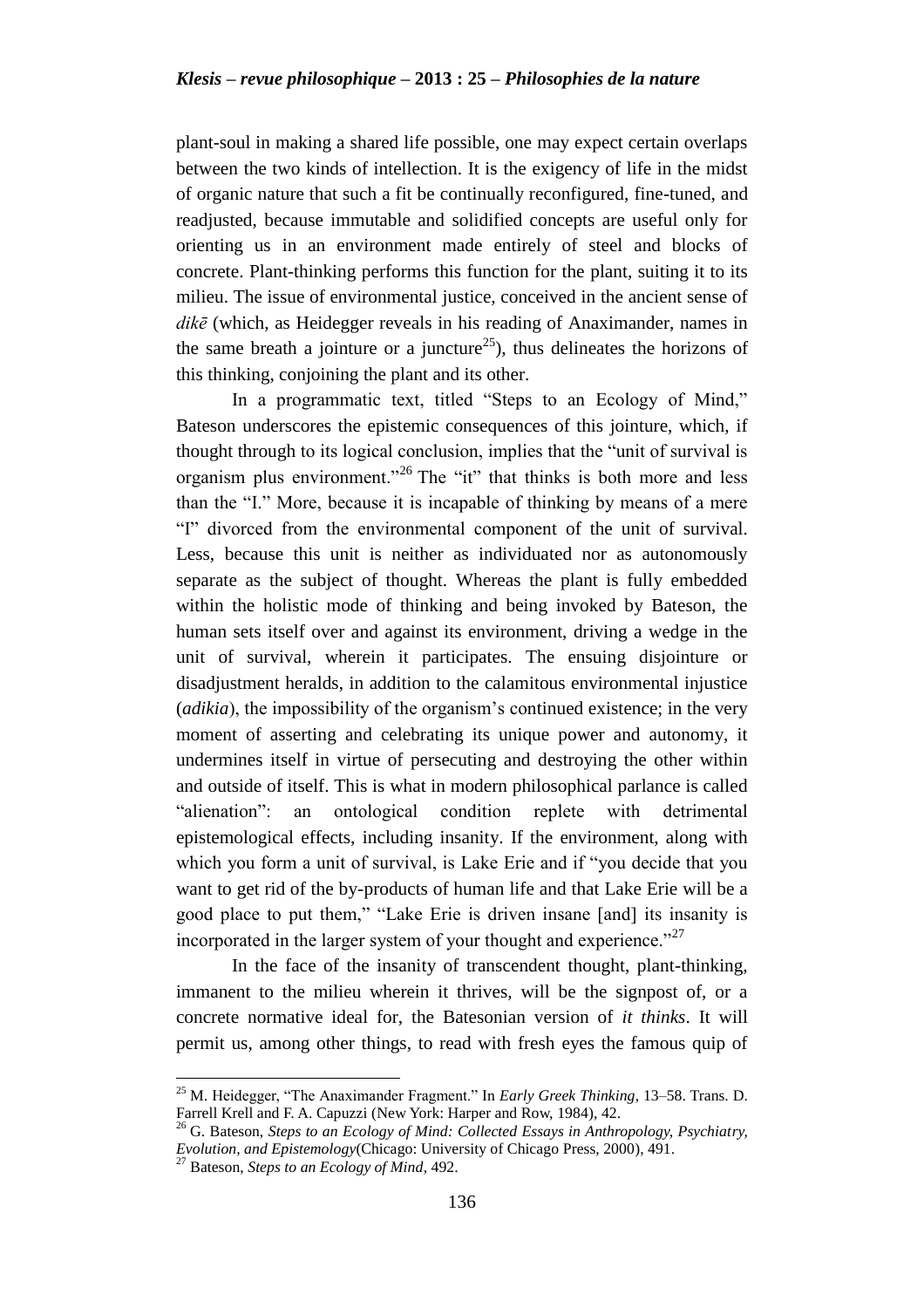plant-soul in making a shared life possible, one may expect certain overlaps between the two kinds of intellection. It is the exigency of life in the midst of organic nature that such a fit be continually reconfigured, fine-tuned, and readjusted, because immutable and solidified concepts are useful only for orienting us in an environment made entirely of steel and blocks of concrete. Plant-thinking performs this function for the plant, suiting it to its milieu. The issue of environmental justice, conceived in the ancient sense of *dikē* (which, as Heidegger reveals in his reading of Anaximander, names in the same breath a jointure or a juncture<sup>25</sup>), thus delineates the horizons of this thinking, conjoining the plant and its other.

In a programmatic text, titled "Steps to an Ecology of Mind," Bateson underscores the epistemic consequences of this jointure, which, if thought through to its logical conclusion, implies that the "unit of survival is organism plus environment."<sup>26</sup> The "it" that thinks is both more and less than the "I." More, because it is incapable of thinking by means of a mere "I" divorced from the environmental component of the unit of survival. Less, because this unit is neither as individuated nor as autonomously separate as the subject of thought. Whereas the plant is fully embedded within the holistic mode of thinking and being invoked by Bateson, the human sets itself over and against its environment, driving a wedge in the unit of survival, wherein it participates. The ensuing disjointure or disadjustment heralds, in addition to the calamitous environmental injustice (*adikia*), the impossibility of the organism's continued existence; in the very moment of asserting and celebrating its unique power and autonomy, it undermines itself in virtue of persecuting and destroying the other within and outside of itself. This is what in modern philosophical parlance is called "alienation": an ontological condition replete with detrimental epistemological effects, including insanity. If the environment, along with which you form a unit of survival, is Lake Erie and if "you decide that you want to get rid of the by-products of human life and that Lake Erie will be a good place to put them," "Lake Erie is driven insane [and] its insanity is incorporated in the larger system of your thought and experience."<sup>27</sup>

In the face of the insanity of transcendent thought, plant-thinking, immanent to the milieu wherein it thrives, will be the signpost of, or a concrete normative ideal for, the Batesonian version of *it thinks*. It will permit us, among other things, to read with fresh eyes the famous quip of

<sup>25</sup> M. Heidegger, "The Anaximander Fragment." In *Early Greek Thinking*, 13–58. Trans. D. Farrell Krell and F. A. Capuzzi (New York: Harper and Row, 1984), 42.

<sup>26</sup> G. Bateson, *Steps to an Ecology of Mind: Collected Essays in Anthropology, Psychiatry, Evolution, and Epistemology*(Chicago: University of Chicago Press, 2000), 491.

<sup>27</sup> Bateson, *Steps to an Ecology of Mind*, 492.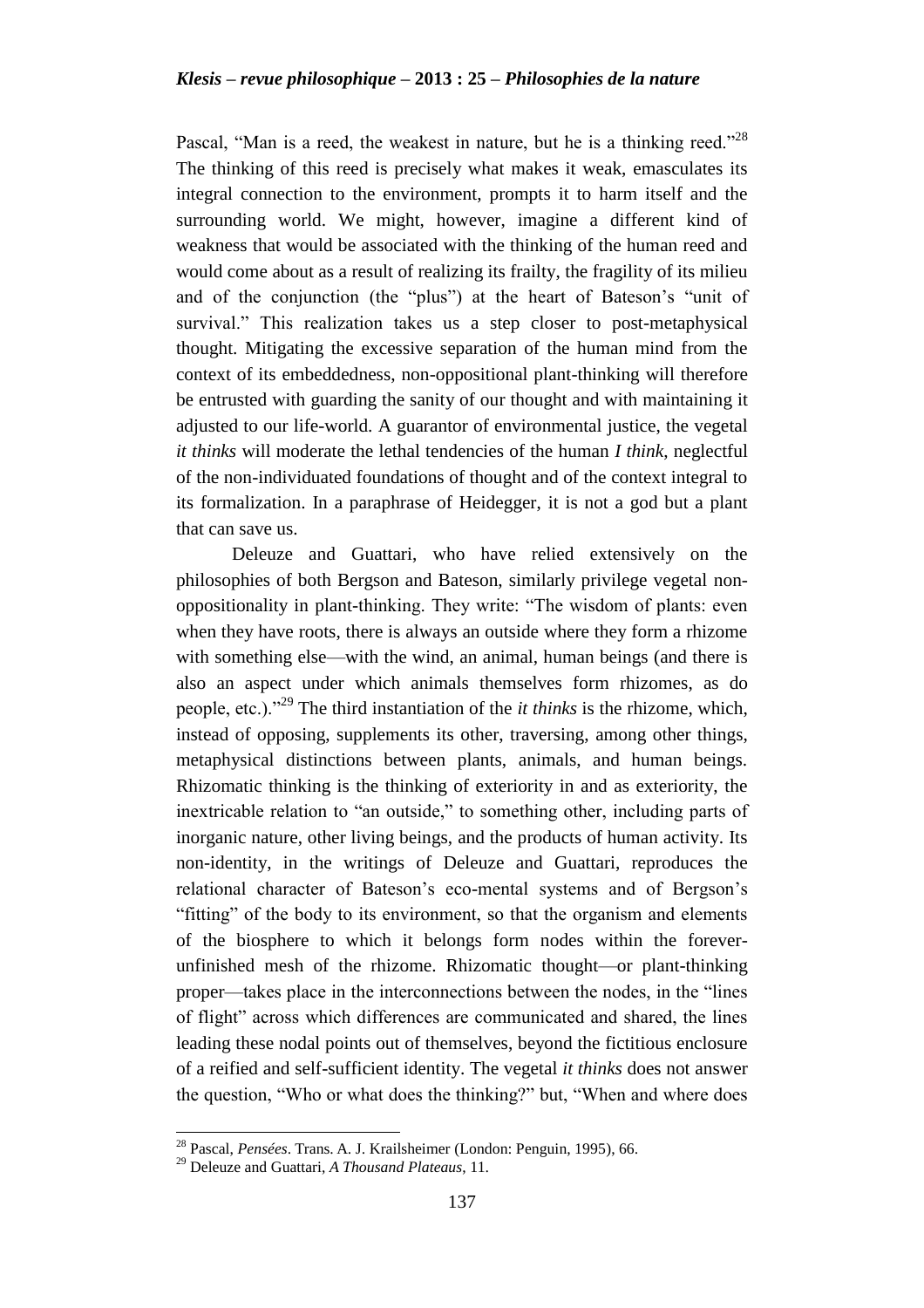Pascal, "Man is a reed, the weakest in nature, but he is a thinking reed."<sup>28</sup> The thinking of this reed is precisely what makes it weak, emasculates its integral connection to the environment, prompts it to harm itself and the surrounding world. We might, however, imagine a different kind of weakness that would be associated with the thinking of the human reed and would come about as a result of realizing its frailty, the fragility of its milieu and of the conjunction (the "plus") at the heart of Bateson's "unit of survival." This realization takes us a step closer to post-metaphysical thought. Mitigating the excessive separation of the human mind from the context of its embeddedness, non-oppositional plant-thinking will therefore be entrusted with guarding the sanity of our thought and with maintaining it adjusted to our life-world. A guarantor of environmental justice, the vegetal *it thinks* will moderate the lethal tendencies of the human *I think*, neglectful of the non-individuated foundations of thought and of the context integral to its formalization. In a paraphrase of Heidegger, it is not a god but a plant that can save us.

Deleuze and Guattari, who have relied extensively on the philosophies of both Bergson and Bateson, similarly privilege vegetal nonoppositionality in plant-thinking. They write: "The wisdom of plants: even when they have roots, there is always an outside where they form a rhizome with something else—with the wind, an animal, human beings (and there is also an aspect under which animals themselves form rhizomes, as do people, etc.)."<sup>29</sup> The third instantiation of the *it thinks* is the rhizome, which, instead of opposing, supplements its other, traversing, among other things, metaphysical distinctions between plants, animals, and human beings. Rhizomatic thinking is the thinking of exteriority in and as exteriority, the inextricable relation to "an outside," to something other, including parts of inorganic nature, other living beings, and the products of human activity. Its non-identity, in the writings of Deleuze and Guattari, reproduces the relational character of Bateson's eco-mental systems and of Bergson's "fitting" of the body to its environment, so that the organism and elements of the biosphere to which it belongs form nodes within the foreverunfinished mesh of the rhizome. Rhizomatic thought—or plant-thinking proper—takes place in the interconnections between the nodes, in the "lines of flight" across which differences are communicated and shared, the lines leading these nodal points out of themselves, beyond the fictitious enclosure of a reified and self-sufficient identity. The vegetal *it thinks* does not answer the question, "Who or what does the thinking?" but, "When and where does

<sup>28</sup> Pascal, *Pensées*. Trans. A. J. Krailsheimer (London: Penguin, 1995), 66.

<sup>29</sup> Deleuze and Guattari, *A Thousand Plateaus*, 11.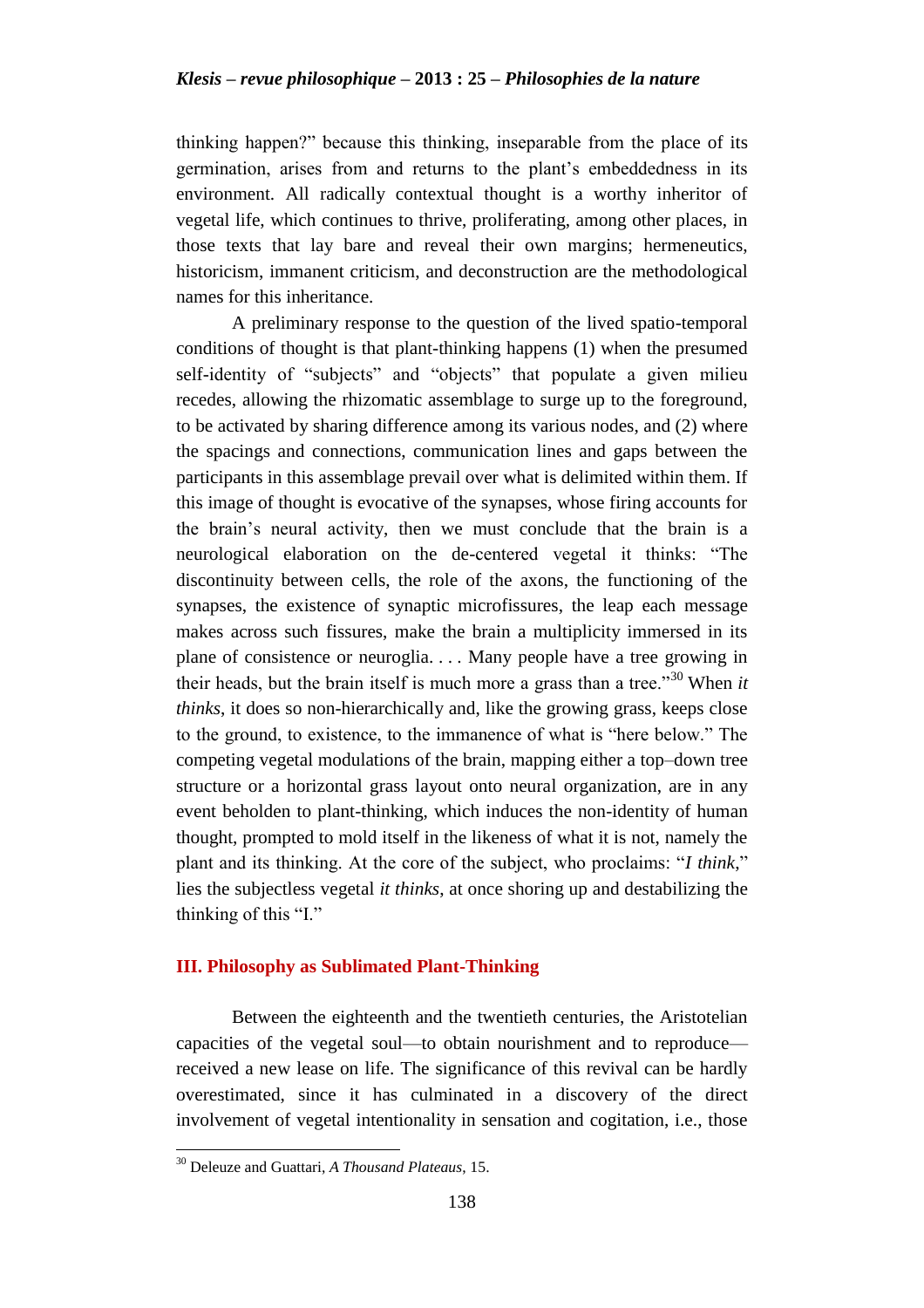thinking happen?" because this thinking, inseparable from the place of its germination, arises from and returns to the plant's embeddedness in its environment. All radically contextual thought is a worthy inheritor of vegetal life, which continues to thrive, proliferating, among other places, in those texts that lay bare and reveal their own margins; hermeneutics, historicism, immanent criticism, and deconstruction are the methodological names for this inheritance.

A preliminary response to the question of the lived spatio-temporal conditions of thought is that plant-thinking happens (1) when the presumed self-identity of "subjects" and "objects" that populate a given milieu recedes, allowing the rhizomatic assemblage to surge up to the foreground, to be activated by sharing difference among its various nodes, and (2) where the spacings and connections, communication lines and gaps between the participants in this assemblage prevail over what is delimited within them. If this image of thought is evocative of the synapses, whose firing accounts for the brain's neural activity, then we must conclude that the brain is a neurological elaboration on the de-centered vegetal it thinks: "The discontinuity between cells, the role of the axons, the functioning of the synapses, the existence of synaptic microfissures, the leap each message makes across such fissures, make the brain a multiplicity immersed in its plane of consistence or neuroglia. . . . Many people have a tree growing in their heads, but the brain itself is much more a grass than a tree."<sup>30</sup> When *it thinks*, it does so non-hierarchically and, like the growing grass, keeps close to the ground, to existence, to the immanence of what is "here below." The competing vegetal modulations of the brain, mapping either a top–down tree structure or a horizontal grass layout onto neural organization, are in any event beholden to plant-thinking, which induces the non-identity of human thought, prompted to mold itself in the likeness of what it is not, namely the plant and its thinking. At the core of the subject, who proclaims: "*I think*," lies the subjectless vegetal *it thinks*, at once shoring up and destabilizing the thinking of this "I."

#### **III. Philosophy as Sublimated Plant-Thinking**

Between the eighteenth and the twentieth centuries, the Aristotelian capacities of the vegetal soul—to obtain nourishment and to reproduce received a new lease on life. The significance of this revival can be hardly overestimated, since it has culminated in a discovery of the direct involvement of vegetal intentionality in sensation and cogitation, i.e., those

<sup>30</sup> Deleuze and Guattari, *A Thousand Plateaus*, 15.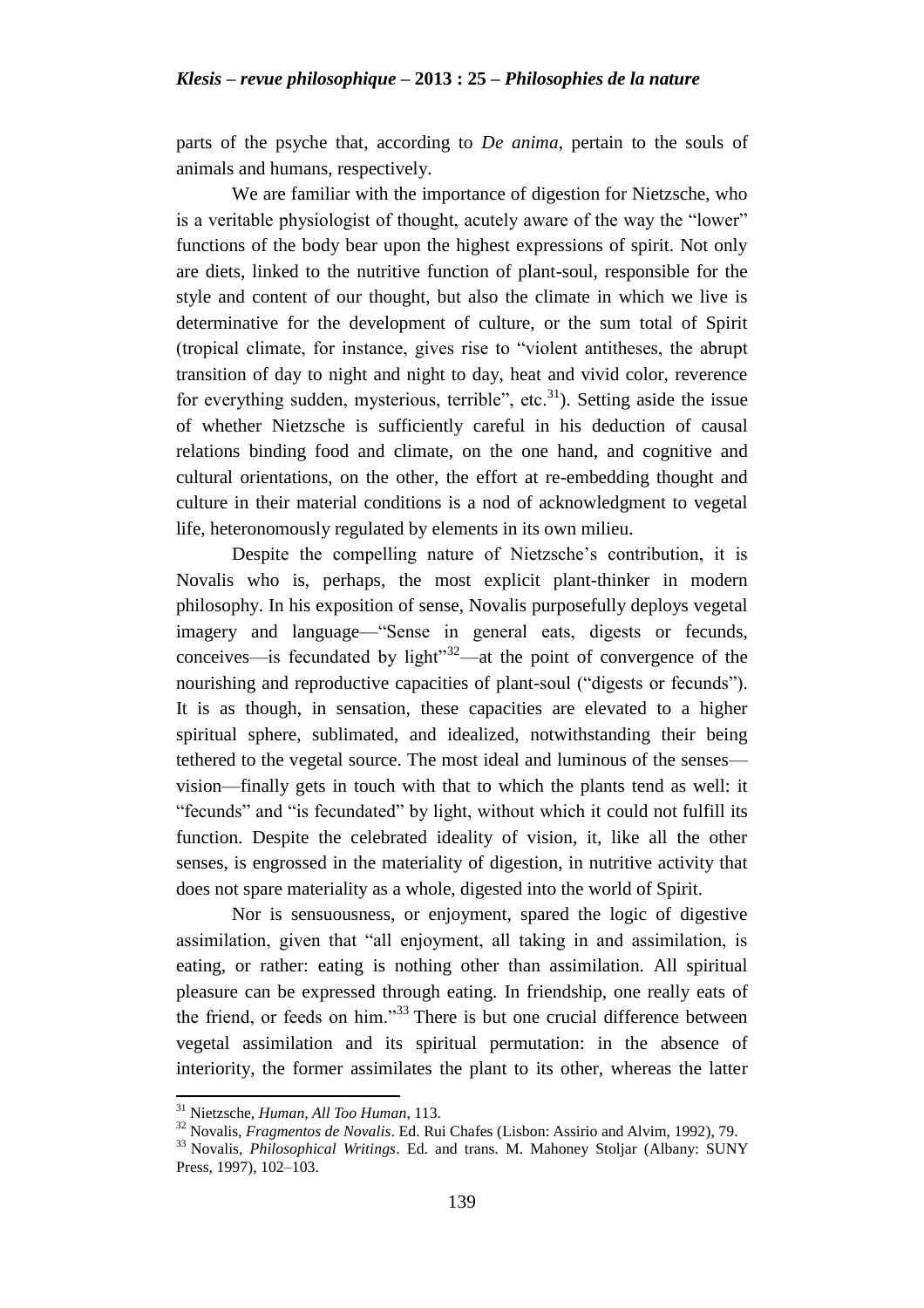parts of the psyche that, according to *De anima*, pertain to the souls of animals and humans, respectively.

We are familiar with the importance of digestion for Nietzsche, who is a veritable physiologist of thought, acutely aware of the way the "lower" functions of the body bear upon the highest expressions of spirit. Not only are diets, linked to the nutritive function of plant-soul, responsible for the style and content of our thought, but also the climate in which we live is determinative for the development of culture, or the sum total of Spirit (tropical climate, for instance, gives rise to "violent antitheses, the abrupt transition of day to night and night to day, heat and vivid color, reverence for everything sudden, mysterious, terrible", etc.<sup>31</sup>). Setting aside the issue of whether Nietzsche is sufficiently careful in his deduction of causal relations binding food and climate, on the one hand, and cognitive and cultural orientations, on the other, the effort at re-embedding thought and culture in their material conditions is a nod of acknowledgment to vegetal life, heteronomously regulated by elements in its own milieu.

Despite the compelling nature of Nietzsche's contribution, it is Novalis who is, perhaps, the most explicit plant-thinker in modern philosophy. In his exposition of sense, Novalis purposefully deploys vegetal imagery and language—"Sense in general eats, digests or fecunds, conceives—is fecundated by light"<sup>32</sup>—at the point of convergence of the nourishing and reproductive capacities of plant-soul ("digests or fecunds"). It is as though, in sensation, these capacities are elevated to a higher spiritual sphere, sublimated, and idealized, notwithstanding their being tethered to the vegetal source. The most ideal and luminous of the senses vision—finally gets in touch with that to which the plants tend as well: it "fecunds" and "is fecundated" by light, without which it could not fulfill its function. Despite the celebrated ideality of vision, it, like all the other senses, is engrossed in the materiality of digestion, in nutritive activity that does not spare materiality as a whole, digested into the world of Spirit.

Nor is sensuousness, or enjoyment, spared the logic of digestive assimilation, given that "all enjoyment, all taking in and assimilation, is eating, or rather: eating is nothing other than assimilation. All spiritual pleasure can be expressed through eating. In friendship, one really eats of the friend, or feeds on him."<sup>33</sup> There is but one crucial difference between vegetal assimilation and its spiritual permutation: in the absence of interiority, the former assimilates the plant to its other, whereas the latter

<sup>31</sup> Nietzsche, *Human, All Too Human*, 113.

<sup>32</sup> Novalis, *Fragmentos de Novalis*. Ed. Rui Chafes (Lisbon: Assirio and Alvim, 1992), 79.

<sup>33</sup> Novalis, *Philosophical Writings*. Ed. and trans. M. Mahoney Stoljar (Albany: SUNY Press, 1997), 102–103.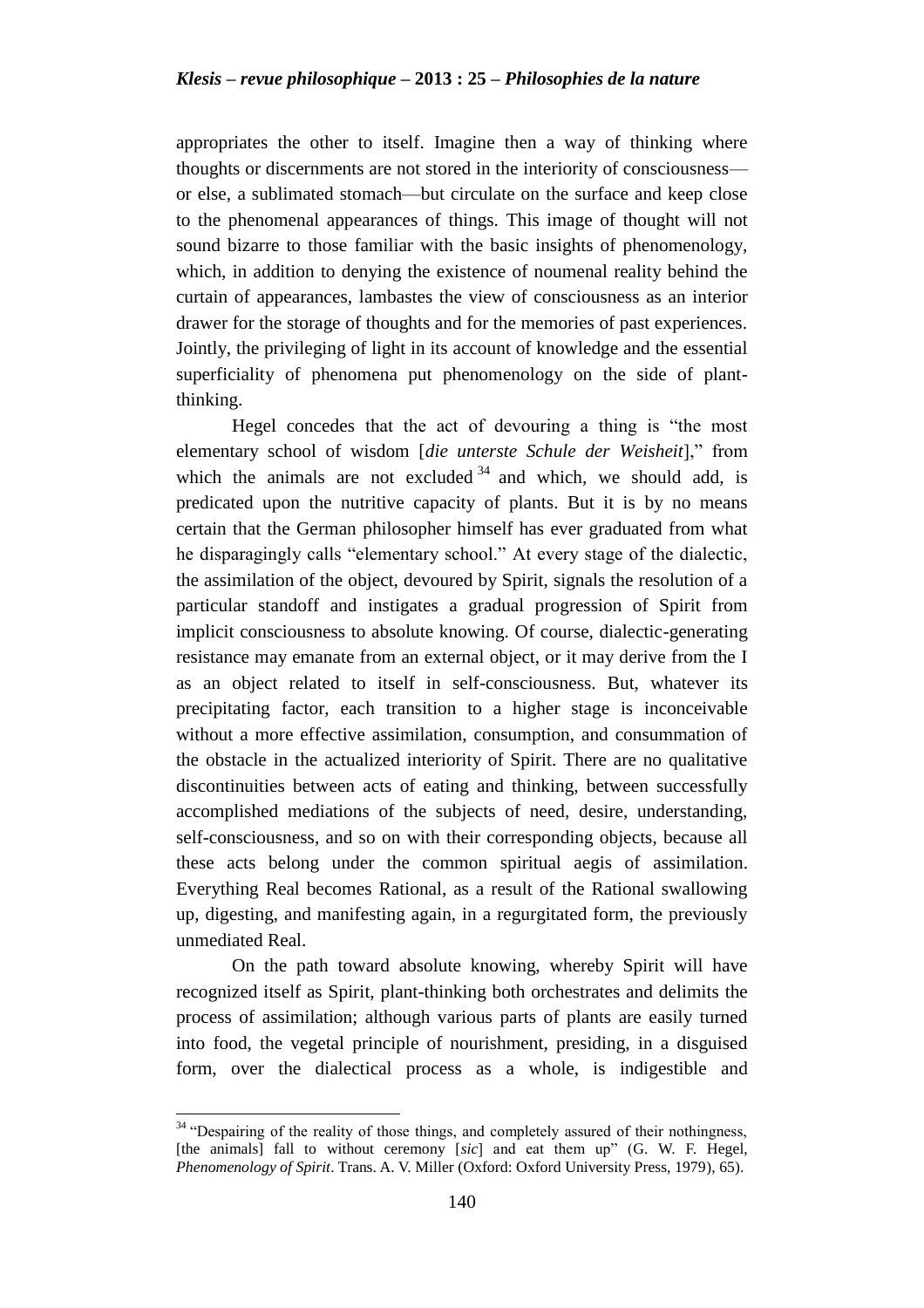appropriates the other to itself. Imagine then a way of thinking where thoughts or discernments are not stored in the interiority of consciousness or else, a sublimated stomach—but circulate on the surface and keep close to the phenomenal appearances of things. This image of thought will not sound bizarre to those familiar with the basic insights of phenomenology, which, in addition to denying the existence of noumenal reality behind the curtain of appearances, lambastes the view of consciousness as an interior drawer for the storage of thoughts and for the memories of past experiences. Jointly, the privileging of light in its account of knowledge and the essential superficiality of phenomena put phenomenology on the side of plantthinking.

Hegel concedes that the act of devouring a thing is "the most elementary school of wisdom [*die unterste Schule der Weisheit*]," from which the animals are not excluded  $34$  and which, we should add, is predicated upon the nutritive capacity of plants. But it is by no means certain that the German philosopher himself has ever graduated from what he disparagingly calls "elementary school." At every stage of the dialectic, the assimilation of the object, devoured by Spirit, signals the resolution of a particular standoff and instigates a gradual progression of Spirit from implicit consciousness to absolute knowing. Of course, dialectic-generating resistance may emanate from an external object, or it may derive from the I as an object related to itself in self-consciousness. But, whatever its precipitating factor, each transition to a higher stage is inconceivable without a more effective assimilation, consumption, and consummation of the obstacle in the actualized interiority of Spirit. There are no qualitative discontinuities between acts of eating and thinking, between successfully accomplished mediations of the subjects of need, desire, understanding, self-consciousness, and so on with their corresponding objects, because all these acts belong under the common spiritual aegis of assimilation. Everything Real becomes Rational, as a result of the Rational swallowing up, digesting, and manifesting again, in a regurgitated form, the previously unmediated Real.

On the path toward absolute knowing, whereby Spirit will have recognized itself as Spirit, plant-thinking both orchestrates and delimits the process of assimilation; although various parts of plants are easily turned into food, the vegetal principle of nourishment, presiding, in a disguised form, over the dialectical process as a whole, is indigestible and

<sup>&</sup>lt;sup>34</sup> "Despairing of the reality of those things, and completely assured of their nothingness, [the animals] fall to without ceremony [sic] and eat them up" (G. W. F. Hegel, *Phenomenology of Spirit*. Trans. A. V. Miller (Oxford: Oxford University Press, 1979), 65).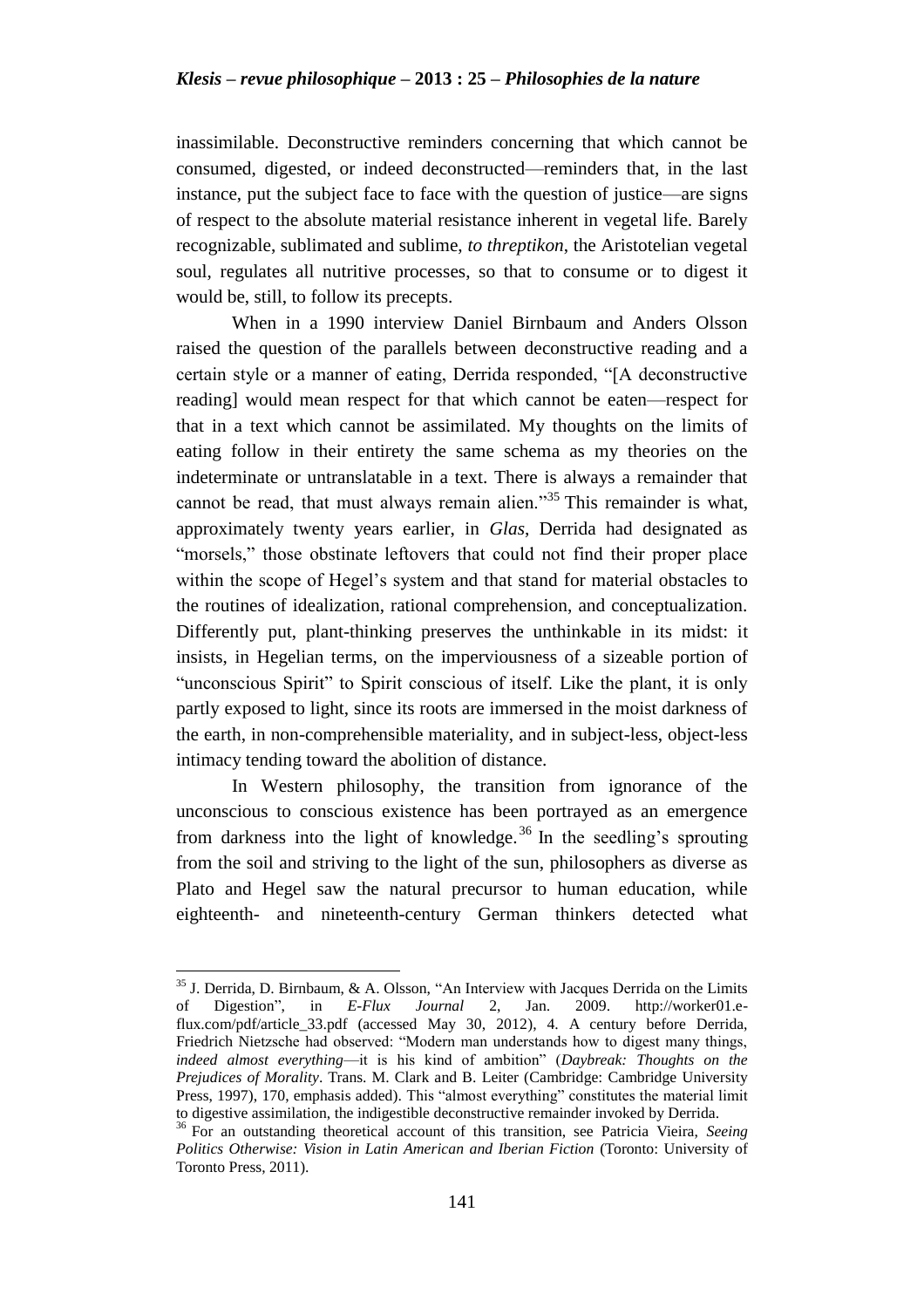inassimilable. Deconstructive reminders concerning that which cannot be consumed, digested, or indeed deconstructed—reminders that, in the last instance, put the subject face to face with the question of justice—are signs of respect to the absolute material resistance inherent in vegetal life. Barely recognizable, sublimated and sublime, *to threptikon*, the Aristotelian vegetal soul, regulates all nutritive processes, so that to consume or to digest it would be, still, to follow its precepts.

When in a 1990 interview Daniel Birnbaum and Anders Olsson raised the question of the parallels between deconstructive reading and a certain style or a manner of eating, Derrida responded, "[A deconstructive reading] would mean respect for that which cannot be eaten—respect for that in a text which cannot be assimilated. My thoughts on the limits of eating follow in their entirety the same schema as my theories on the indeterminate or untranslatable in a text. There is always a remainder that cannot be read, that must always remain alien."<sup>35</sup> This remainder is what, approximately twenty years earlier, in *Glas*, Derrida had designated as "morsels," those obstinate leftovers that could not find their proper place within the scope of Hegel's system and that stand for material obstacles to the routines of idealization, rational comprehension, and conceptualization. Differently put, plant-thinking preserves the unthinkable in its midst: it insists, in Hegelian terms, on the imperviousness of a sizeable portion of "unconscious Spirit" to Spirit conscious of itself. Like the plant, it is only partly exposed to light, since its roots are immersed in the moist darkness of the earth, in non-comprehensible materiality, and in subject-less, object-less intimacy tending toward the abolition of distance.

In Western philosophy, the transition from ignorance of the unconscious to conscious existence has been portrayed as an emergence from darkness into the light of knowledge.<sup>36</sup> In the seedling's sprouting from the soil and striving to the light of the sun, philosophers as diverse as Plato and Hegel saw the natural precursor to human education, while eighteenth- and nineteenth-century German thinkers detected what

 $35$  J. Derrida, D. Birnbaum, & A. Olsson, "An Interview with Jacques Derrida on the Limits of Digestion", in *E-Flux Journal* 2, Jan. 2009. http://worker01.eflux.com/pdf/article\_33.pdf (accessed May 30, 2012), 4. A century before Derrida, Friedrich Nietzsche had observed: "Modern man understands how to digest many things, *indeed almost everything*—it is his kind of ambition" (*Daybreak: Thoughts on the Prejudices of Morality*. Trans. M. Clark and B. Leiter (Cambridge: Cambridge University Press, 1997), 170, emphasis added). This "almost everything" constitutes the material limit to digestive assimilation, the indigestible deconstructive remainder invoked by Derrida.

<sup>36</sup> For an outstanding theoretical account of this transition, see Patricia Vieira, *Seeing Politics Otherwise: Vision in Latin American and Iberian Fiction* (Toronto: University of Toronto Press, 2011).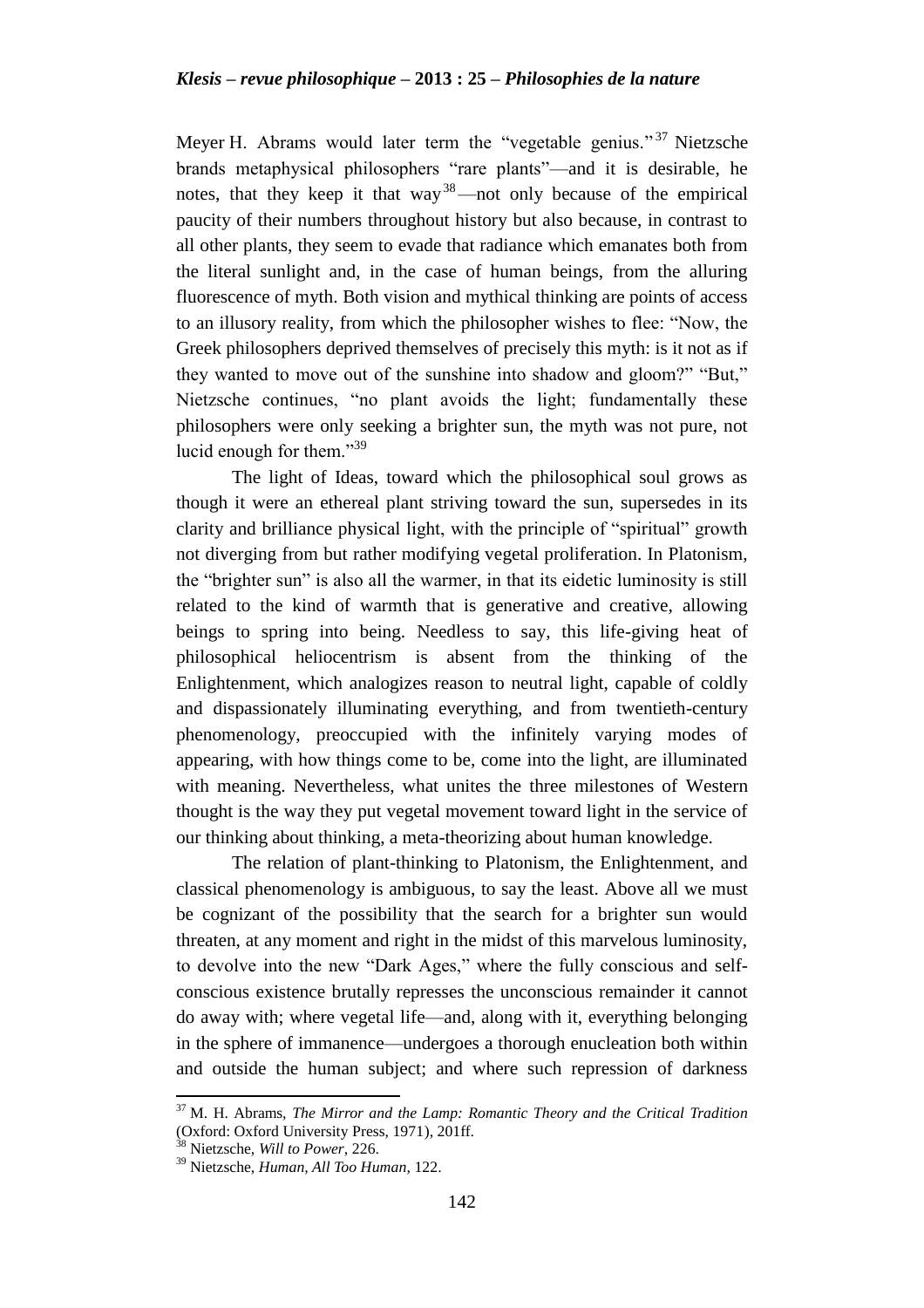Meyer H. Abrams would later term the "vegetable genius."<sup>37</sup> Nietzsche brands metaphysical philosophers "rare plants"—and it is desirable, he notes, that they keep it that way<sup>38</sup>—not only because of the empirical paucity of their numbers throughout history but also because, in contrast to all other plants, they seem to evade that radiance which emanates both from the literal sunlight and, in the case of human beings, from the alluring fluorescence of myth. Both vision and mythical thinking are points of access to an illusory reality, from which the philosopher wishes to flee: "Now, the Greek philosophers deprived themselves of precisely this myth: is it not as if they wanted to move out of the sunshine into shadow and gloom?" "But," Nietzsche continues, "no plant avoids the light; fundamentally these philosophers were only seeking a brighter sun, the myth was not pure, not lucid enough for them."<sup>39</sup>

The light of Ideas, toward which the philosophical soul grows as though it were an ethereal plant striving toward the sun, supersedes in its clarity and brilliance physical light, with the principle of "spiritual" growth not diverging from but rather modifying vegetal proliferation. In Platonism, the "brighter sun" is also all the warmer, in that its eidetic luminosity is still related to the kind of warmth that is generative and creative, allowing beings to spring into being. Needless to say, this life-giving heat of philosophical heliocentrism is absent from the thinking of the Enlightenment, which analogizes reason to neutral light, capable of coldly and dispassionately illuminating everything, and from twentieth-century phenomenology, preoccupied with the infinitely varying modes of appearing, with how things come to be, come into the light, are illuminated with meaning. Nevertheless, what unites the three milestones of Western thought is the way they put vegetal movement toward light in the service of our thinking about thinking, a meta-theorizing about human knowledge.

The relation of plant-thinking to Platonism, the Enlightenment, and classical phenomenology is ambiguous, to say the least. Above all we must be cognizant of the possibility that the search for a brighter sun would threaten, at any moment and right in the midst of this marvelous luminosity, to devolve into the new "Dark Ages," where the fully conscious and selfconscious existence brutally represses the unconscious remainder it cannot do away with; where vegetal life—and, along with it, everything belonging in the sphere of immanence—undergoes a thorough enucleation both within and outside the human subject; and where such repression of darkness

<sup>37</sup> M. H. Abrams, *The Mirror and the Lamp: Romantic Theory and the Critical Tradition*  (Oxford: Oxford University Press, 1971), 201ff.

<sup>38</sup> Nietzsche, *Will to Power*, 226.

<sup>39</sup> Nietzsche, *Human, All Too Human*, 122.